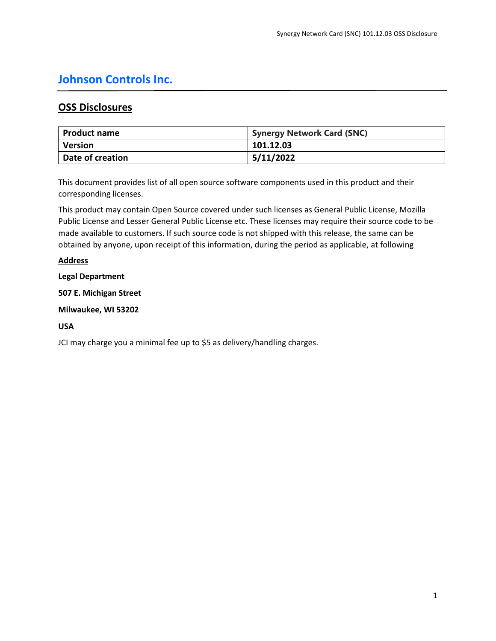# **Johnson Controls Inc.**

# **OSS Disclosures**

| Product name     | <b>Synergy Network Card (SNC)</b> |  |
|------------------|-----------------------------------|--|
| <i>Version</i>   | 101.12.03                         |  |
| Date of creation | 5/11/2022                         |  |

This document provides list of all open source software components used in this product and their corresponding licenses.

This product may contain Open Source covered under such licenses as General Public License, Mozilla Public License and Lesser General Public License etc. These licenses may require their source code to be made available to customers. If such source code is not shipped with this release, the same can be obtained by anyone, upon receipt of this information, during the period as applicable, at following

# **Address**

# **Legal Department**

**507 E. Michigan Street**

**Milwaukee, WI 53202**

# **USA**

JCI may charge you a minimal fee up to \$5 as delivery/handling charges.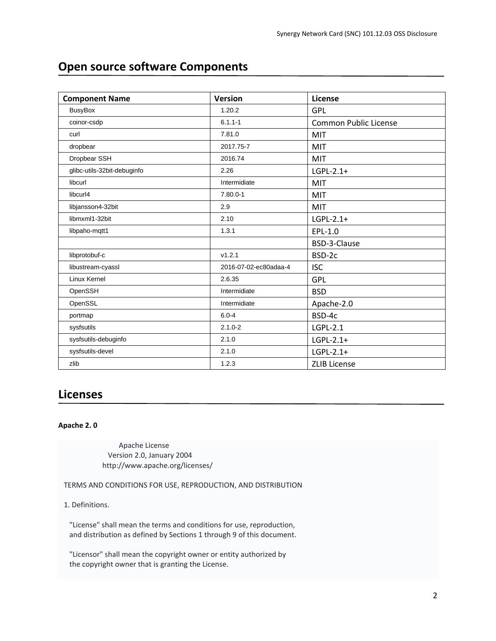# **Open source software Components**

| <b>Component Name</b>       | <b>Version</b>        | License                      |
|-----------------------------|-----------------------|------------------------------|
| <b>BusyBox</b>              | 1.20.2                | <b>GPL</b>                   |
| coinor-csdp                 | $6.1.1 - 1$           | <b>Common Public License</b> |
| curl                        | 7.81.0                | MIT                          |
| dropbear                    | 2017.75-7             | <b>MIT</b>                   |
| Dropbear SSH                | 2016.74               | <b>MIT</b>                   |
| glibc-utils-32bit-debuginfo | 2.26                  | LGPL-2.1+                    |
| libcurl                     | Intermidiate          | <b>MIT</b>                   |
| libcurl4                    | $7.80.0 - 1$          | <b>MIT</b>                   |
| libjansson4-32bit           | 2.9                   | <b>MIT</b>                   |
| libmxml1-32bit              | 2.10                  | $LGPL-2.1+$                  |
| libpaho-mqtt1               | 1.3.1                 | EPL-1.0                      |
|                             |                       | BSD-3-Clause                 |
| libprotobuf-c               | V1.2.1                | BSD-2c                       |
| libustream-cyassl           | 2016-07-02-ec80adaa-4 | <b>ISC</b>                   |
| Linux Kernel                | 2.6.35                | <b>GPL</b>                   |
| OpenSSH                     | Intermidiate          | <b>BSD</b>                   |
| OpenSSL                     | Intermidiate          | Apache-2.0                   |
| portmap                     | $6.0 - 4$             | BSD-4c                       |
| sysfsutils                  | $2.1.0 - 2$           | LGPL-2.1                     |
| sysfsutils-debuginfo        | 2.1.0                 | LGPL-2.1+                    |
| sysfsutils-devel            | 2.1.0                 | $LGPL-2.1+$                  |
| zlib                        | 1.2.3                 | <b>ZLIB License</b>          |

# **Licenses**

# **Apache 2. 0**

 Apache License Version 2.0, January 2004 http://www.apache.org/licenses/

TERMS AND CONDITIONS FOR USE, REPRODUCTION, AND DISTRIBUTION

# 1. Definitions.

 "License" shall mean the terms and conditions for use, reproduction, and distribution as defined by Sections 1 through 9 of this document.

 "Licensor" shall mean the copyright owner or entity authorized by the copyright owner that is granting the License.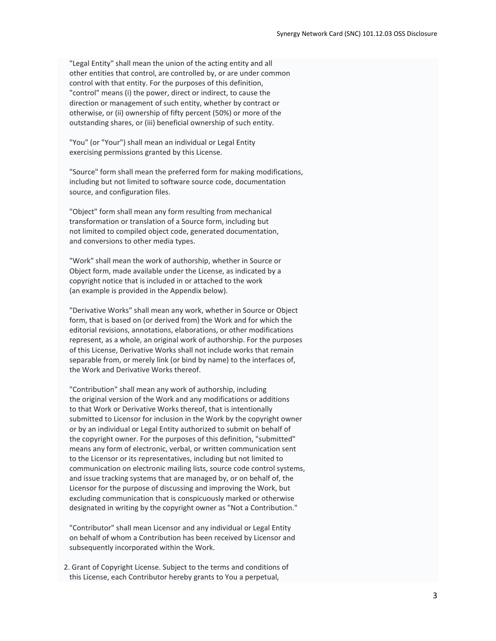"Legal Entity" shall mean the union of the acting entity and all other entities that control, are controlled by, or are under common control with that entity. For the purposes of this definition, "control" means (i) the power, direct or indirect, to cause the direction or management of such entity, whether by contract or otherwise, or (ii) ownership of fifty percent (50%) or more of the outstanding shares, or (iii) beneficial ownership of such entity.

 "You" (or "Your") shall mean an individual or Legal Entity exercising permissions granted by this License.

 "Source" form shall mean the preferred form for making modifications, including but not limited to software source code, documentation source, and configuration files.

 "Object" form shall mean any form resulting from mechanical transformation or translation of a Source form, including but not limited to compiled object code, generated documentation, and conversions to other media types.

 "Work" shall mean the work of authorship, whether in Source or Object form, made available under the License, as indicated by a copyright notice that is included in or attached to the work (an example is provided in the Appendix below).

 "Derivative Works" shall mean any work, whether in Source or Object form, that is based on (or derived from) the Work and for which the editorial revisions, annotations, elaborations, or other modifications represent, as a whole, an original work of authorship. For the purposes of this License, Derivative Works shall not include works that remain separable from, or merely link (or bind by name) to the interfaces of, the Work and Derivative Works thereof.

 "Contribution" shall mean any work of authorship, including the original version of the Work and any modifications or additions to that Work or Derivative Works thereof, that is intentionally submitted to Licensor for inclusion in the Work by the copyright owner or by an individual or Legal Entity authorized to submit on behalf of the copyright owner. For the purposes of this definition, "submitted" means any form of electronic, verbal, or written communication sent to the Licensor or its representatives, including but not limited to communication on electronic mailing lists, source code control systems, and issue tracking systems that are managed by, or on behalf of, the Licensor for the purpose of discussing and improving the Work, but excluding communication that is conspicuously marked or otherwise designated in writing by the copyright owner as "Not a Contribution."

 "Contributor" shall mean Licensor and any individual or Legal Entity on behalf of whom a Contribution has been received by Licensor and subsequently incorporated within the Work.

 2. Grant of Copyright License. Subject to the terms and conditions of this License, each Contributor hereby grants to You a perpetual,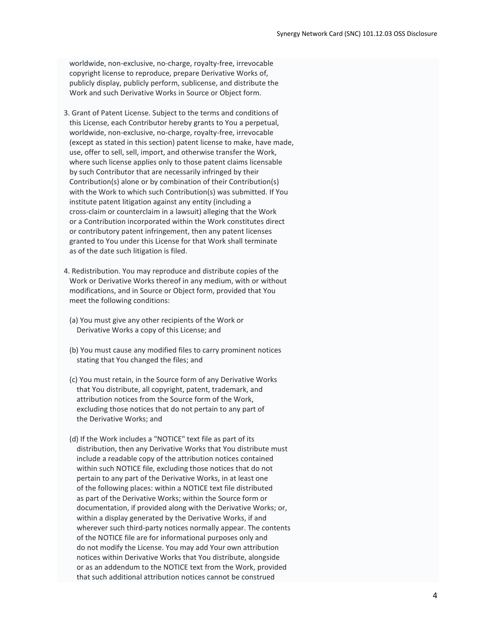worldwide, non-exclusive, no-charge, royalty-free, irrevocable copyright license to reproduce, prepare Derivative Works of, publicly display, publicly perform, sublicense, and distribute the Work and such Derivative Works in Source or Object form.

- 3. Grant of Patent License. Subject to the terms and conditions of this License, each Contributor hereby grants to You a perpetual, worldwide, non-exclusive, no-charge, royalty-free, irrevocable (except as stated in this section) patent license to make, have made, use, offer to sell, sell, import, and otherwise transfer the Work, where such license applies only to those patent claims licensable by such Contributor that are necessarily infringed by their Contribution(s) alone or by combination of their Contribution(s) with the Work to which such Contribution(s) was submitted. If You institute patent litigation against any entity (including a cross-claim or counterclaim in a lawsuit) alleging that the Work or a Contribution incorporated within the Work constitutes direct or contributory patent infringement, then any patent licenses granted to You under this License for that Work shall terminate as of the date such litigation is filed.
- 4. Redistribution. You may reproduce and distribute copies of the Work or Derivative Works thereof in any medium, with or without modifications, and in Source or Object form, provided that You meet the following conditions:
	- (a) You must give any other recipients of the Work or Derivative Works a copy of this License; and
	- (b) You must cause any modified files to carry prominent notices stating that You changed the files; and
	- (c) You must retain, in the Source form of any Derivative Works that You distribute, all copyright, patent, trademark, and attribution notices from the Source form of the Work, excluding those notices that do not pertain to any part of the Derivative Works; and
	- (d) If the Work includes a "NOTICE" text file as part of its distribution, then any Derivative Works that You distribute must include a readable copy of the attribution notices contained within such NOTICE file, excluding those notices that do not pertain to any part of the Derivative Works, in at least one of the following places: within a NOTICE text file distributed as part of the Derivative Works; within the Source form or documentation, if provided along with the Derivative Works; or, within a display generated by the Derivative Works, if and wherever such third-party notices normally appear. The contents of the NOTICE file are for informational purposes only and do not modify the License. You may add Your own attribution notices within Derivative Works that You distribute, alongside or as an addendum to the NOTICE text from the Work, provided that such additional attribution notices cannot be construed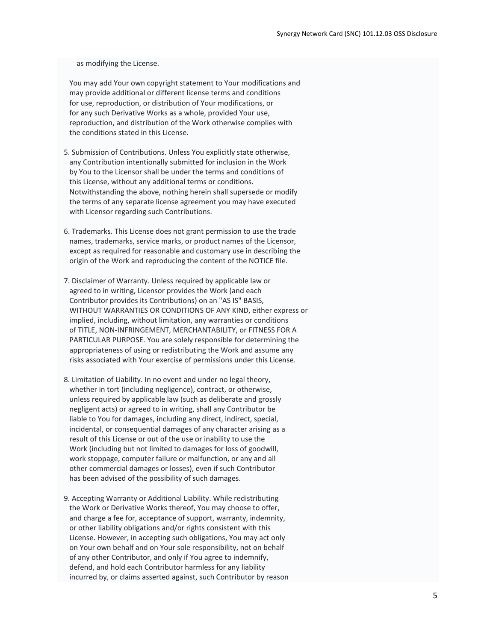as modifying the License.

 You may add Your own copyright statement to Your modifications and may provide additional or different license terms and conditions for use, reproduction, or distribution of Your modifications, or for any such Derivative Works as a whole, provided Your use, reproduction, and distribution of the Work otherwise complies with the conditions stated in this License.

- 5. Submission of Contributions. Unless You explicitly state otherwise, any Contribution intentionally submitted for inclusion in the Work by You to the Licensor shall be under the terms and conditions of this License, without any additional terms or conditions. Notwithstanding the above, nothing herein shall supersede or modify the terms of any separate license agreement you may have executed with Licensor regarding such Contributions.
- 6. Trademarks. This License does not grant permission to use the trade names, trademarks, service marks, or product names of the Licensor, except as required for reasonable and customary use in describing the origin of the Work and reproducing the content of the NOTICE file.
- 7. Disclaimer of Warranty. Unless required by applicable law or agreed to in writing, Licensor provides the Work (and each Contributor provides its Contributions) on an "AS IS" BASIS, WITHOUT WARRANTIES OR CONDITIONS OF ANY KIND, either express or implied, including, without limitation, any warranties or conditions of TITLE, NON-INFRINGEMENT, MERCHANTABILITY, or FITNESS FOR A PARTICULAR PURPOSE. You are solely responsible for determining the appropriateness of using or redistributing the Work and assume any risks associated with Your exercise of permissions under this License.
- 8. Limitation of Liability. In no event and under no legal theory, whether in tort (including negligence), contract, or otherwise, unless required by applicable law (such as deliberate and grossly negligent acts) or agreed to in writing, shall any Contributor be liable to You for damages, including any direct, indirect, special, incidental, or consequential damages of any character arising as a result of this License or out of the use or inability to use the Work (including but not limited to damages for loss of goodwill, work stoppage, computer failure or malfunction, or any and all other commercial damages or losses), even if such Contributor has been advised of the possibility of such damages.
- 9. Accepting Warranty or Additional Liability. While redistributing the Work or Derivative Works thereof, You may choose to offer, and charge a fee for, acceptance of support, warranty, indemnity, or other liability obligations and/or rights consistent with this License. However, in accepting such obligations, You may act only on Your own behalf and on Your sole responsibility, not on behalf of any other Contributor, and only if You agree to indemnify, defend, and hold each Contributor harmless for any liability incurred by, or claims asserted against, such Contributor by reason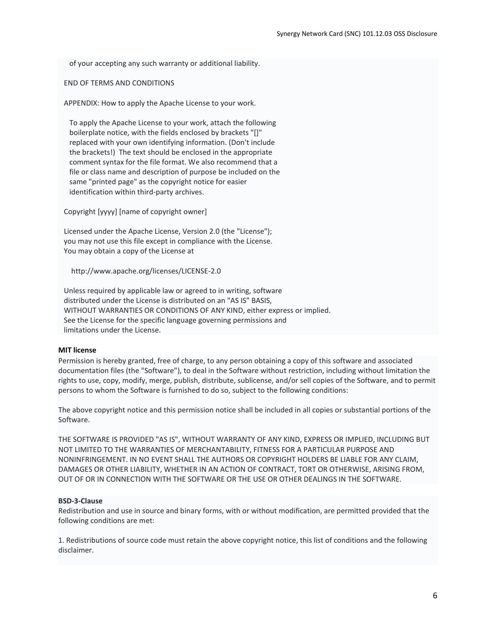of your accepting any such warranty or additional liability.

END OF TERMS AND CONDITIONS

APPENDIX: How to apply the Apache License to your work.

 To apply the Apache License to your work, attach the following boilerplate notice, with the fields enclosed by brackets "[]" replaced with your own identifying information. (Don't include the brackets!) The text should be enclosed in the appropriate comment syntax for the file format. We also recommend that a file or class name and description of purpose be included on the same "printed page" as the copyright notice for easier identification within third-party archives.

Copyright [yyyy] [name of copyright owner]

 Licensed under the Apache License, Version 2.0 (the "License"); you may not use this file except in compliance with the License. You may obtain a copy of the License at

http://www.apache.org/licenses/LICENSE-2.0

 Unless required by applicable law or agreed to in writing, software distributed under the License is distributed on an "AS IS" BASIS, WITHOUT WARRANTIES OR CONDITIONS OF ANY KIND, either express or implied. See the License for the specific language governing permissions and limitations under the License.

#### **MIT license**

Permission is hereby granted, free of charge, to any person obtaining a copy of this software and associated documentation files (the "Software"), to deal in the Software without restriction, including without limitation the rights to use, copy, modify, merge, publish, distribute, sublicense, and/or sell copies of the Software, and to permit persons to whom the Software is furnished to do so, subject to the following conditions:

The above copyright notice and this permission notice shall be included in all copies or substantial portions of the Software.

THE SOFTWARE IS PROVIDED "AS IS", WITHOUT WARRANTY OF ANY KIND, EXPRESS OR IMPLIED, INCLUDING BUT NOT LIMITED TO THE WARRANTIES OF MERCHANTABILITY, FITNESS FOR A PARTICULAR PURPOSE AND NONINFRINGEMENT. IN NO EVENT SHALL THE AUTHORS OR COPYRIGHT HOLDERS BE LIABLE FOR ANY CLAIM, DAMAGES OR OTHER LIABILITY, WHETHER IN AN ACTION OF CONTRACT, TORT OR OTHERWISE, ARISING FROM, OUT OF OR IN CONNECTION WITH THE SOFTWARE OR THE USE OR OTHER DEALINGS IN THE SOFTWARE.

#### **BSD-3-Clause**

Redistribution and use in source and binary forms, with or without modification, are permitted provided that the following conditions are met:

1. Redistributions of source code must retain the above copyright notice, this list of conditions and the following disclaimer.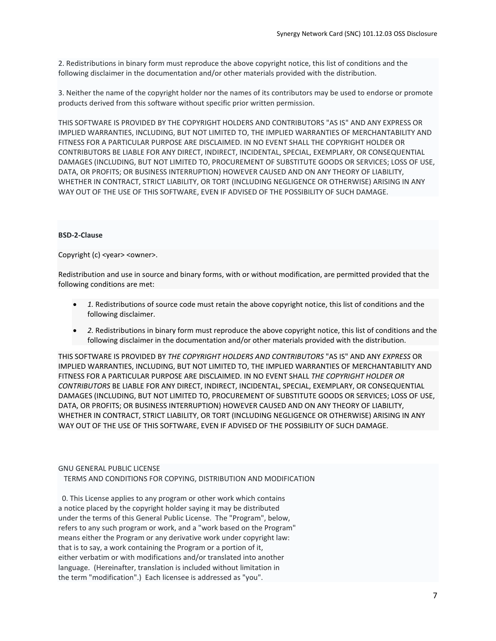2. Redistributions in binary form must reproduce the above copyright notice, this list of conditions and the following disclaimer in the documentation and/or other materials provided with the distribution.

3. Neither the name of the copyright holder nor the names of its contributors may be used to endorse or promote products derived from this software without specific prior written permission.

THIS SOFTWARE IS PROVIDED BY THE COPYRIGHT HOLDERS AND CONTRIBUTORS "AS IS" AND ANY EXPRESS OR IMPLIED WARRANTIES, INCLUDING, BUT NOT LIMITED TO, THE IMPLIED WARRANTIES OF MERCHANTABILITY AND FITNESS FOR A PARTICULAR PURPOSE ARE DISCLAIMED. IN NO EVENT SHALL THE COPYRIGHT HOLDER OR CONTRIBUTORS BE LIABLE FOR ANY DIRECT, INDIRECT, INCIDENTAL, SPECIAL, EXEMPLARY, OR CONSEQUENTIAL DAMAGES (INCLUDING, BUT NOT LIMITED TO, PROCUREMENT OF SUBSTITUTE GOODS OR SERVICES; LOSS OF USE, DATA, OR PROFITS; OR BUSINESS INTERRUPTION) HOWEVER CAUSED AND ON ANY THEORY OF LIABILITY, WHETHER IN CONTRACT, STRICT LIABILITY, OR TORT (INCLUDING NEGLIGENCE OR OTHERWISE) ARISING IN ANY WAY OUT OF THE USE OF THIS SOFTWARE, EVEN IF ADVISED OF THE POSSIBILITY OF SUCH DAMAGE.

## **BSD-2-Clause**

Copyright (c) <year> <owner>.

Redistribution and use in source and binary forms, with or without modification, are permitted provided that the following conditions are met:

- *1.* Redistributions of source code must retain the above copyright notice, this list of conditions and the following disclaimer.
- *2.* Redistributions in binary form must reproduce the above copyright notice, this list of conditions and the following disclaimer in the documentation and/or other materials provided with the distribution.

THIS SOFTWARE IS PROVIDED BY *THE COPYRIGHT HOLDERS AND CONTRIBUTORS* "AS IS" AND ANY *EXPRESS* OR IMPLIED WARRANTIES, INCLUDING, BUT NOT LIMITED TO, THE IMPLIED WARRANTIES OF MERCHANTABILITY AND FITNESS FOR A PARTICULAR PURPOSE ARE DISCLAIMED. IN NO EVENT SHALL *THE COPYRIGHT HOLDER OR CONTRIBUTORS* BE LIABLE FOR ANY DIRECT, INDIRECT, INCIDENTAL, SPECIAL, EXEMPLARY, OR CONSEQUENTIAL DAMAGES (INCLUDING, BUT NOT LIMITED TO, PROCUREMENT OF SUBSTITUTE GOODS OR SERVICES; LOSS OF USE, DATA, OR PROFITS; OR BUSINESS INTERRUPTION) HOWEVER CAUSED AND ON ANY THEORY OF LIABILITY, WHETHER IN CONTRACT, STRICT LIABILITY, OR TORT (INCLUDING NEGLIGENCE OR OTHERWISE) ARISING IN ANY WAY OUT OF THE USE OF THIS SOFTWARE, EVEN IF ADVISED OF THE POSSIBILITY OF SUCH DAMAGE.

GNU GENERAL PUBLIC LICENSE TERMS AND CONDITIONS FOR COPYING, DISTRIBUTION AND MODIFICATION

 0. This License applies to any program or other work which contains a notice placed by the copyright holder saying it may be distributed under the terms of this General Public License. The "Program", below, refers to any such program or work, and a "work based on the Program" means either the Program or any derivative work under copyright law: that is to say, a work containing the Program or a portion of it, either verbatim or with modifications and/or translated into another language. (Hereinafter, translation is included without limitation in the term "modification".) Each licensee is addressed as "you".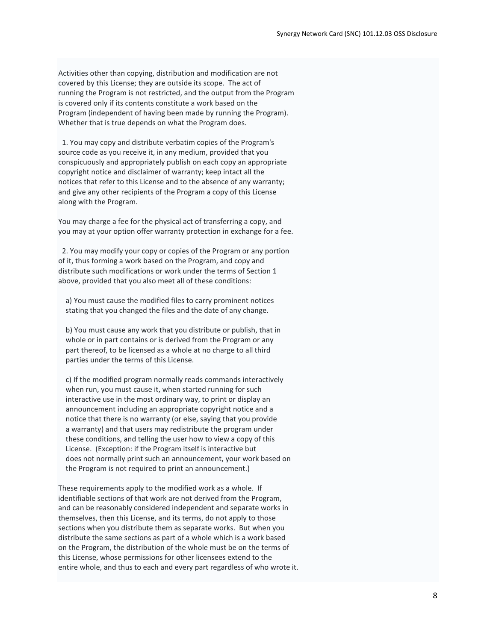Activities other than copying, distribution and modification are not covered by this License; they are outside its scope. The act of running the Program is not restricted, and the output from the Program is covered only if its contents constitute a work based on the Program (independent of having been made by running the Program). Whether that is true depends on what the Program does.

 1. You may copy and distribute verbatim copies of the Program's source code as you receive it, in any medium, provided that you conspicuously and appropriately publish on each copy an appropriate copyright notice and disclaimer of warranty; keep intact all the notices that refer to this License and to the absence of any warranty; and give any other recipients of the Program a copy of this License along with the Program.

You may charge a fee for the physical act of transferring a copy, and you may at your option offer warranty protection in exchange for a fee.

 2. You may modify your copy or copies of the Program or any portion of it, thus forming a work based on the Program, and copy and distribute such modifications or work under the terms of Section 1 above, provided that you also meet all of these conditions:

 a) You must cause the modified files to carry prominent notices stating that you changed the files and the date of any change.

 b) You must cause any work that you distribute or publish, that in whole or in part contains or is derived from the Program or any part thereof, to be licensed as a whole at no charge to all third parties under the terms of this License.

 c) If the modified program normally reads commands interactively when run, you must cause it, when started running for such interactive use in the most ordinary way, to print or display an announcement including an appropriate copyright notice and a notice that there is no warranty (or else, saying that you provide a warranty) and that users may redistribute the program under these conditions, and telling the user how to view a copy of this License. (Exception: if the Program itself is interactive but does not normally print such an announcement, your work based on the Program is not required to print an announcement.)

These requirements apply to the modified work as a whole. If identifiable sections of that work are not derived from the Program, and can be reasonably considered independent and separate works in themselves, then this License, and its terms, do not apply to those sections when you distribute them as separate works. But when you distribute the same sections as part of a whole which is a work based on the Program, the distribution of the whole must be on the terms of this License, whose permissions for other licensees extend to the entire whole, and thus to each and every part regardless of who wrote it.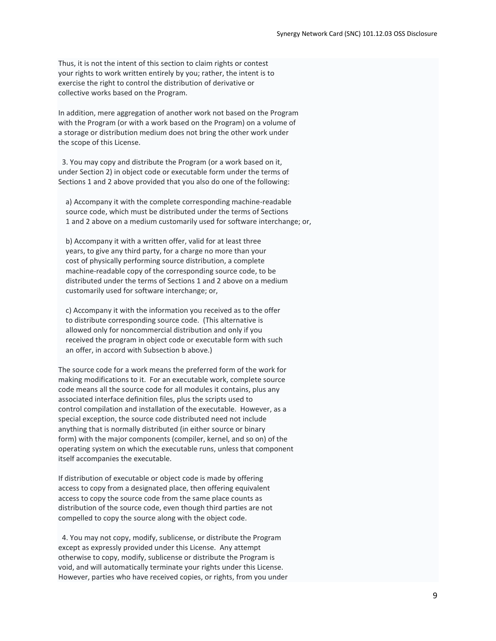Thus, it is not the intent of this section to claim rights or contest your rights to work written entirely by you; rather, the intent is to exercise the right to control the distribution of derivative or collective works based on the Program.

In addition, mere aggregation of another work not based on the Program with the Program (or with a work based on the Program) on a volume of a storage or distribution medium does not bring the other work under the scope of this License.

 3. You may copy and distribute the Program (or a work based on it, under Section 2) in object code or executable form under the terms of Sections 1 and 2 above provided that you also do one of the following:

 a) Accompany it with the complete corresponding machine-readable source code, which must be distributed under the terms of Sections 1 and 2 above on a medium customarily used for software interchange; or,

 b) Accompany it with a written offer, valid for at least three years, to give any third party, for a charge no more than your cost of physically performing source distribution, a complete machine-readable copy of the corresponding source code, to be distributed under the terms of Sections 1 and 2 above on a medium customarily used for software interchange; or,

 c) Accompany it with the information you received as to the offer to distribute corresponding source code. (This alternative is allowed only for noncommercial distribution and only if you received the program in object code or executable form with such an offer, in accord with Subsection b above.)

The source code for a work means the preferred form of the work for making modifications to it. For an executable work, complete source code means all the source code for all modules it contains, plus any associated interface definition files, plus the scripts used to control compilation and installation of the executable. However, as a special exception, the source code distributed need not include anything that is normally distributed (in either source or binary form) with the major components (compiler, kernel, and so on) of the operating system on which the executable runs, unless that component itself accompanies the executable.

If distribution of executable or object code is made by offering access to copy from a designated place, then offering equivalent access to copy the source code from the same place counts as distribution of the source code, even though third parties are not compelled to copy the source along with the object code.

 4. You may not copy, modify, sublicense, or distribute the Program except as expressly provided under this License. Any attempt otherwise to copy, modify, sublicense or distribute the Program is void, and will automatically terminate your rights under this License. However, parties who have received copies, or rights, from you under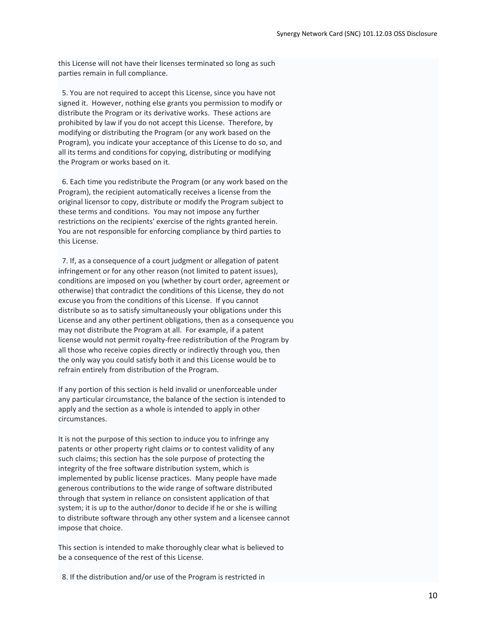this License will not have their licenses terminated so long as such parties remain in full compliance.

 5. You are not required to accept this License, since you have not signed it. However, nothing else grants you permission to modify or distribute the Program or its derivative works. These actions are prohibited by law if you do not accept this License. Therefore, by modifying or distributing the Program (or any work based on the Program), you indicate your acceptance of this License to do so, and all its terms and conditions for copying, distributing or modifying the Program or works based on it.

 6. Each time you redistribute the Program (or any work based on the Program), the recipient automatically receives a license from the original licensor to copy, distribute or modify the Program subject to these terms and conditions. You may not impose any further restrictions on the recipients' exercise of the rights granted herein. You are not responsible for enforcing compliance by third parties to this License.

7. If, as a consequence of a court judgment or allegation of patent infringement or for any other reason (not limited to patent issues), conditions are imposed on you (whether by court order, agreement or otherwise) that contradict the conditions of this License, they do not excuse you from the conditions of this License. If you cannot distribute so as to satisfy simultaneously your obligations under this License and any other pertinent obligations, then as a consequence you may not distribute the Program at all. For example, if a patent license would not permit royalty-free redistribution of the Program by all those who receive copies directly or indirectly through you, then the only way you could satisfy both it and this License would be to refrain entirely from distribution of the Program.

If any portion of this section is held invalid or unenforceable under any particular circumstance, the balance of the section is intended to apply and the section as a whole is intended to apply in other circumstances.

It is not the purpose of this section to induce you to infringe any patents or other property right claims or to contest validity of any such claims; this section has the sole purpose of protecting the integrity of the free software distribution system, which is implemented by public license practices. Many people have made generous contributions to the wide range of software distributed through that system in reliance on consistent application of that system; it is up to the author/donor to decide if he or she is willing to distribute software through any other system and a licensee cannot impose that choice.

This section is intended to make thoroughly clear what is believed to be a consequence of the rest of this License.

8. If the distribution and/or use of the Program is restricted in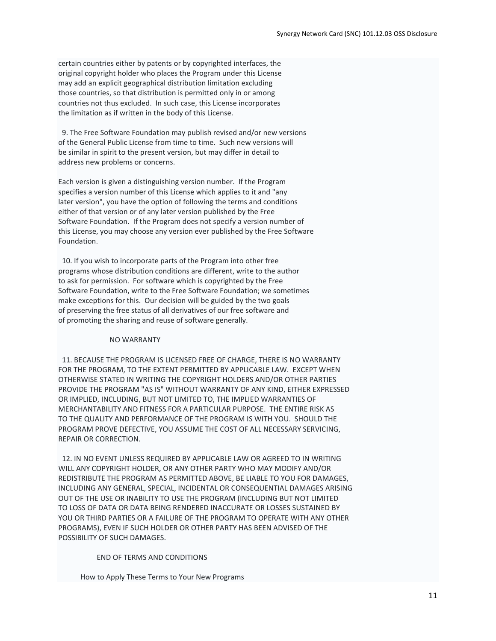certain countries either by patents or by copyrighted interfaces, the original copyright holder who places the Program under this License may add an explicit geographical distribution limitation excluding those countries, so that distribution is permitted only in or among countries not thus excluded. In such case, this License incorporates the limitation as if written in the body of this License.

 9. The Free Software Foundation may publish revised and/or new versions of the General Public License from time to time. Such new versions will be similar in spirit to the present version, but may differ in detail to address new problems or concerns.

Each version is given a distinguishing version number. If the Program specifies a version number of this License which applies to it and "any later version", you have the option of following the terms and conditions either of that version or of any later version published by the Free Software Foundation. If the Program does not specify a version number of this License, you may choose any version ever published by the Free Software Foundation.

 10. If you wish to incorporate parts of the Program into other free programs whose distribution conditions are different, write to the author to ask for permission. For software which is copyrighted by the Free Software Foundation, write to the Free Software Foundation; we sometimes make exceptions for this. Our decision will be guided by the two goals of preserving the free status of all derivatives of our free software and of promoting the sharing and reuse of software generally.

## NO WARRANTY

 11. BECAUSE THE PROGRAM IS LICENSED FREE OF CHARGE, THERE IS NO WARRANTY FOR THE PROGRAM, TO THE EXTENT PERMITTED BY APPLICABLE LAW. EXCEPT WHEN OTHERWISE STATED IN WRITING THE COPYRIGHT HOLDERS AND/OR OTHER PARTIES PROVIDE THE PROGRAM "AS IS" WITHOUT WARRANTY OF ANY KIND, EITHER EXPRESSED OR IMPLIED, INCLUDING, BUT NOT LIMITED TO, THE IMPLIED WARRANTIES OF MERCHANTABILITY AND FITNESS FOR A PARTICULAR PURPOSE. THE ENTIRE RISK AS TO THE QUALITY AND PERFORMANCE OF THE PROGRAM IS WITH YOU. SHOULD THE PROGRAM PROVE DEFECTIVE, YOU ASSUME THE COST OF ALL NECESSARY SERVICING, REPAIR OR CORRECTION.

 12. IN NO EVENT UNLESS REQUIRED BY APPLICABLE LAW OR AGREED TO IN WRITING WILL ANY COPYRIGHT HOLDER, OR ANY OTHER PARTY WHO MAY MODIFY AND/OR REDISTRIBUTE THE PROGRAM AS PERMITTED ABOVE, BE LIABLE TO YOU FOR DAMAGES, INCLUDING ANY GENERAL, SPECIAL, INCIDENTAL OR CONSEQUENTIAL DAMAGES ARISING OUT OF THE USE OR INABILITY TO USE THE PROGRAM (INCLUDING BUT NOT LIMITED TO LOSS OF DATA OR DATA BEING RENDERED INACCURATE OR LOSSES SUSTAINED BY YOU OR THIRD PARTIES OR A FAILURE OF THE PROGRAM TO OPERATE WITH ANY OTHER PROGRAMS), EVEN IF SUCH HOLDER OR OTHER PARTY HAS BEEN ADVISED OF THE POSSIBILITY OF SUCH DAMAGES.

## END OF TERMS AND CONDITIONS

How to Apply These Terms to Your New Programs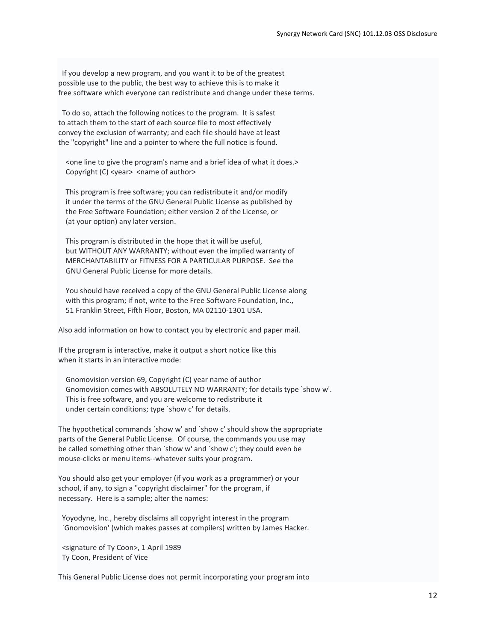If you develop a new program, and you want it to be of the greatest possible use to the public, the best way to achieve this is to make it free software which everyone can redistribute and change under these terms.

 To do so, attach the following notices to the program. It is safest to attach them to the start of each source file to most effectively convey the exclusion of warranty; and each file should have at least the "copyright" line and a pointer to where the full notice is found.

 <one line to give the program's name and a brief idea of what it does.> Copyright (C) <year> <name of author>

 This program is free software; you can redistribute it and/or modify it under the terms of the GNU General Public License as published by the Free Software Foundation; either version 2 of the License, or (at your option) any later version.

 This program is distributed in the hope that it will be useful, but WITHOUT ANY WARRANTY; without even the implied warranty of MERCHANTABILITY or FITNESS FOR A PARTICULAR PURPOSE. See the GNU General Public License for more details.

 You should have received a copy of the GNU General Public License along with this program; if not, write to the Free Software Foundation, Inc., 51 Franklin Street, Fifth Floor, Boston, MA 02110-1301 USA.

Also add information on how to contact you by electronic and paper mail.

If the program is interactive, make it output a short notice like this when it starts in an interactive mode:

 Gnomovision version 69, Copyright (C) year name of author Gnomovision comes with ABSOLUTELY NO WARRANTY; for details type `show w'. This is free software, and you are welcome to redistribute it under certain conditions; type `show c' for details.

The hypothetical commands `show w' and `show c' should show the appropriate parts of the General Public License. Of course, the commands you use may be called something other than `show w' and `show c'; they could even be mouse-clicks or menu items--whatever suits your program.

You should also get your employer (if you work as a programmer) or your school, if any, to sign a "copyright disclaimer" for the program, if necessary. Here is a sample; alter the names:

 Yoyodyne, Inc., hereby disclaims all copyright interest in the program `Gnomovision' (which makes passes at compilers) written by James Hacker.

 <signature of Ty Coon>, 1 April 1989 Ty Coon, President of Vice

This General Public License does not permit incorporating your program into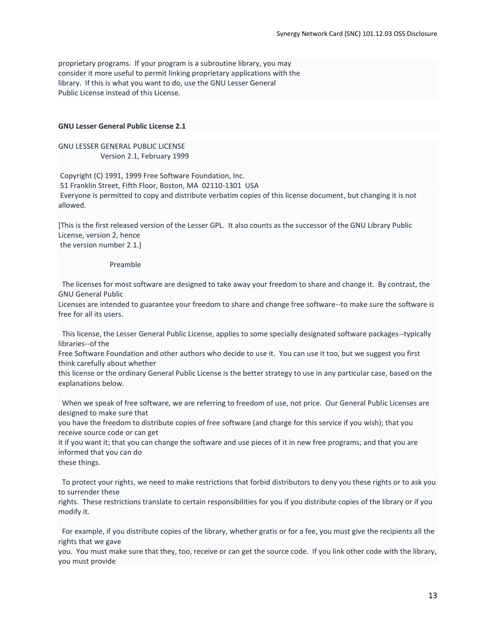proprietary programs. If your program is a subroutine library, you may consider it more useful to permit linking proprietary applications with the library. If this is what you want to do, use the GNU Lesser General Public License instead of this License.

## **GNU Lesser General Public License 2.1**

GNU LESSER GENERAL PUBLIC LICENSE Version 2.1, February 1999

Copyright (C) 1991, 1999 Free Software Foundation, Inc. 51 Franklin Street, Fifth Floor, Boston, MA 02110-1301 USA Everyone is permitted to copy and distribute verbatim copies of this license document, but changing it is not allowed.

[This is the first released version of the Lesser GPL. It also counts as the successor of the GNU Library Public License, version 2, hence the version number 2.1.]

#### Preamble

 The licenses for most software are designed to take away your freedom to share and change it. By contrast, the GNU General Public

Licenses are intended to guarantee your freedom to share and change free software--to make sure the software is free for all its users.

 This license, the Lesser General Public License, applies to some specially designated software packages--typically libraries--of the

Free Software Foundation and other authors who decide to use it. You can use it too, but we suggest you first think carefully about whether

this license or the ordinary General Public License is the better strategy to use in any particular case, based on the explanations below.

 When we speak of free software, we are referring to freedom of use, not price. Our General Public Licenses are designed to make sure that

you have the freedom to distribute copies of free software (and charge for this service if you wish); that you receive source code or can get

it if you want it; that you can change the software and use pieces of it in new free programs; and that you are informed that you can do

these things.

 To protect your rights, we need to make restrictions that forbid distributors to deny you these rights or to ask you to surrender these

rights. These restrictions translate to certain responsibilities for you if you distribute copies of the library or if you modify it.

 For example, if you distribute copies of the library, whether gratis or for a fee, you must give the recipients all the rights that we gave

you. You must make sure that they, too, receive or can get the source code. If you link other code with the library, you must provide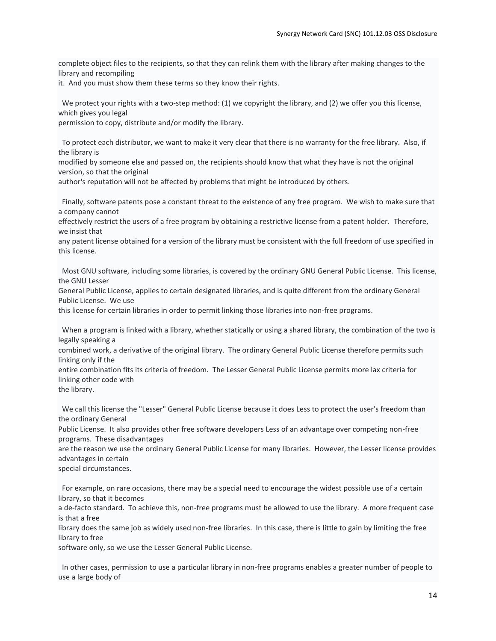complete object files to the recipients, so that they can relink them with the library after making changes to the library and recompiling

it. And you must show them these terms so they know their rights.

 We protect your rights with a two-step method: (1) we copyright the library, and (2) we offer you this license, which gives you legal

permission to copy, distribute and/or modify the library.

 To protect each distributor, we want to make it very clear that there is no warranty for the free library. Also, if the library is

modified by someone else and passed on, the recipients should know that what they have is not the original version, so that the original

author's reputation will not be affected by problems that might be introduced by others.

 Finally, software patents pose a constant threat to the existence of any free program. We wish to make sure that a company cannot

effectively restrict the users of a free program by obtaining a restrictive license from a patent holder. Therefore, we insist that

any patent license obtained for a version of the library must be consistent with the full freedom of use specified in this license.

 Most GNU software, including some libraries, is covered by the ordinary GNU General Public License. This license, the GNU Lesser

General Public License, applies to certain designated libraries, and is quite different from the ordinary General Public License. We use

this license for certain libraries in order to permit linking those libraries into non-free programs.

 When a program is linked with a library, whether statically or using a shared library, the combination of the two is legally speaking a

combined work, a derivative of the original library. The ordinary General Public License therefore permits such linking only if the

entire combination fits its criteria of freedom. The Lesser General Public License permits more lax criteria for linking other code with

the library.

 We call this license the "Lesser" General Public License because it does Less to protect the user's freedom than the ordinary General

Public License. It also provides other free software developers Less of an advantage over competing non-free programs. These disadvantages

are the reason we use the ordinary General Public License for many libraries. However, the Lesser license provides advantages in certain

special circumstances.

 For example, on rare occasions, there may be a special need to encourage the widest possible use of a certain library, so that it becomes

a de-facto standard. To achieve this, non-free programs must be allowed to use the library. A more frequent case is that a free

library does the same job as widely used non-free libraries. In this case, there is little to gain by limiting the free library to free

software only, so we use the Lesser General Public License.

 In other cases, permission to use a particular library in non-free programs enables a greater number of people to use a large body of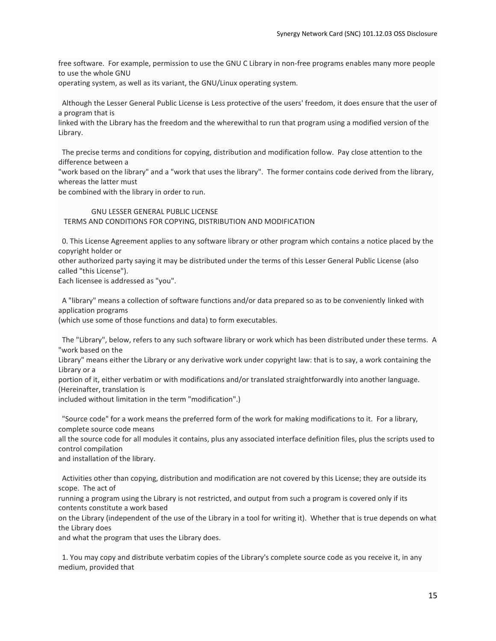free software. For example, permission to use the GNU C Library in non-free programs enables many more people to use the whole GNU

operating system, as well as its variant, the GNU/Linux operating system.

 Although the Lesser General Public License is Less protective of the users' freedom, it does ensure that the user of a program that is

linked with the Library has the freedom and the wherewithal to run that program using a modified version of the Library.

 The precise terms and conditions for copying, distribution and modification follow. Pay close attention to the difference between a

"work based on the library" and a "work that uses the library". The former contains code derived from the library, whereas the latter must

be combined with the library in order to run.

# GNU LESSER GENERAL PUBLIC LICENSE

TERMS AND CONDITIONS FOR COPYING, DISTRIBUTION AND MODIFICATION

 0. This License Agreement applies to any software library or other program which contains a notice placed by the copyright holder or

other authorized party saying it may be distributed under the terms of this Lesser General Public License (also called "this License").

Each licensee is addressed as "you".

 A "library" means a collection of software functions and/or data prepared so as to be conveniently linked with application programs

(which use some of those functions and data) to form executables.

 The "Library", below, refers to any such software library or work which has been distributed under these terms. A "work based on the

Library" means either the Library or any derivative work under copyright law: that is to say, a work containing the Library or a

portion of it, either verbatim or with modifications and/or translated straightforwardly into another language. (Hereinafter, translation is

included without limitation in the term "modification".)

 "Source code" for a work means the preferred form of the work for making modifications to it. For a library, complete source code means

all the source code for all modules it contains, plus any associated interface definition files, plus the scripts used to control compilation

and installation of the library.

 Activities other than copying, distribution and modification are not covered by this License; they are outside its scope. The act of

running a program using the Library is not restricted, and output from such a program is covered only if its contents constitute a work based

on the Library (independent of the use of the Library in a tool for writing it). Whether that is true depends on what the Library does

and what the program that uses the Library does.

 1. You may copy and distribute verbatim copies of the Library's complete source code as you receive it, in any medium, provided that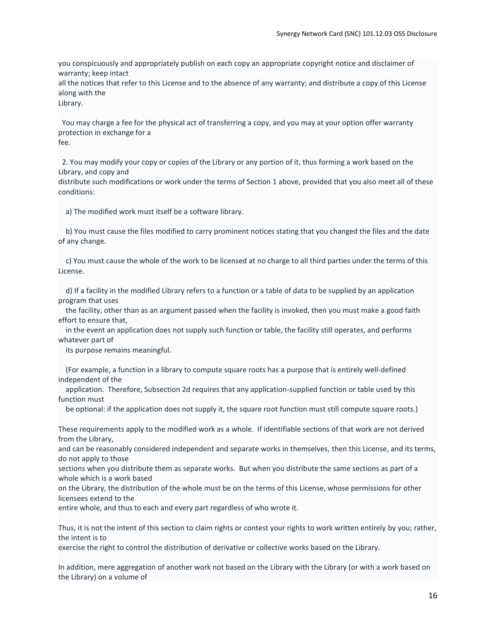you conspicuously and appropriately publish on each copy an appropriate copyright notice and disclaimer of warranty; keep intact

all the notices that refer to this License and to the absence of any warranty; and distribute a copy of this License along with the

Library.

 You may charge a fee for the physical act of transferring a copy, and you may at your option offer warranty protection in exchange for a fee.

 2. You may modify your copy or copies of the Library or any portion of it, thus forming a work based on the Library, and copy and

distribute such modifications or work under the terms of Section 1 above, provided that you also meet all of these conditions:

a) The modified work must itself be a software library.

 b) You must cause the files modified to carry prominent notices stating that you changed the files and the date of any change.

 c) You must cause the whole of the work to be licensed at no charge to all third parties under the terms of this License.

 d) If a facility in the modified Library refers to a function or a table of data to be supplied by an application program that uses

 the facility, other than as an argument passed when the facility is invoked, then you must make a good faith effort to ensure that,

 in the event an application does not supply such function or table, the facility still operates, and performs whatever part of

its purpose remains meaningful.

 (For example, a function in a library to compute square roots has a purpose that is entirely well-defined independent of the

 application. Therefore, Subsection 2d requires that any application-supplied function or table used by this function must

be optional: if the application does not supply it, the square root function must still compute square roots.)

These requirements apply to the modified work as a whole. If identifiable sections of that work are not derived from the Library,

and can be reasonably considered independent and separate works in themselves, then this License, and its terms, do not apply to those

sections when you distribute them as separate works. But when you distribute the same sections as part of a whole which is a work based

on the Library, the distribution of the whole must be on the terms of this License, whose permissions for other licensees extend to the

entire whole, and thus to each and every part regardless of who wrote it.

Thus, it is not the intent of this section to claim rights or contest your rights to work written entirely by you; rather, the intent is to

exercise the right to control the distribution of derivative or collective works based on the Library.

In addition, mere aggregation of another work not based on the Library with the Library (or with a work based on the Library) on a volume of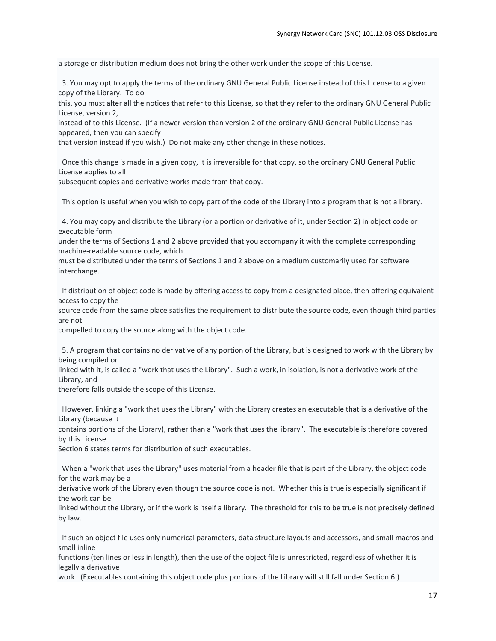a storage or distribution medium does not bring the other work under the scope of this License.

 3. You may opt to apply the terms of the ordinary GNU General Public License instead of this License to a given copy of the Library. To do

this, you must alter all the notices that refer to this License, so that they refer to the ordinary GNU General Public License, version 2,

instead of to this License. (If a newer version than version 2 of the ordinary GNU General Public License has appeared, then you can specify

that version instead if you wish.) Do not make any other change in these notices.

 Once this change is made in a given copy, it is irreversible for that copy, so the ordinary GNU General Public License applies to all

subsequent copies and derivative works made from that copy.

This option is useful when you wish to copy part of the code of the Library into a program that is not a library.

 4. You may copy and distribute the Library (or a portion or derivative of it, under Section 2) in object code or executable form

under the terms of Sections 1 and 2 above provided that you accompany it with the complete corresponding machine-readable source code, which

must be distributed under the terms of Sections 1 and 2 above on a medium customarily used for software interchange.

 If distribution of object code is made by offering access to copy from a designated place, then offering equivalent access to copy the

source code from the same place satisfies the requirement to distribute the source code, even though third parties are not

compelled to copy the source along with the object code.

 5. A program that contains no derivative of any portion of the Library, but is designed to work with the Library by being compiled or

linked with it, is called a "work that uses the Library". Such a work, in isolation, is not a derivative work of the Library, and

therefore falls outside the scope of this License.

 However, linking a "work that uses the Library" with the Library creates an executable that is a derivative of the Library (because it

contains portions of the Library), rather than a "work that uses the library". The executable is therefore covered by this License.

Section 6 states terms for distribution of such executables.

 When a "work that uses the Library" uses material from a header file that is part of the Library, the object code for the work may be a

derivative work of the Library even though the source code is not. Whether this is true is especially significant if the work can be

linked without the Library, or if the work is itself a library. The threshold for this to be true is not precisely defined by law.

 If such an object file uses only numerical parameters, data structure layouts and accessors, and small macros and small inline

functions (ten lines or less in length), then the use of the object file is unrestricted, regardless of whether it is legally a derivative

work. (Executables containing this object code plus portions of the Library will still fall under Section 6.)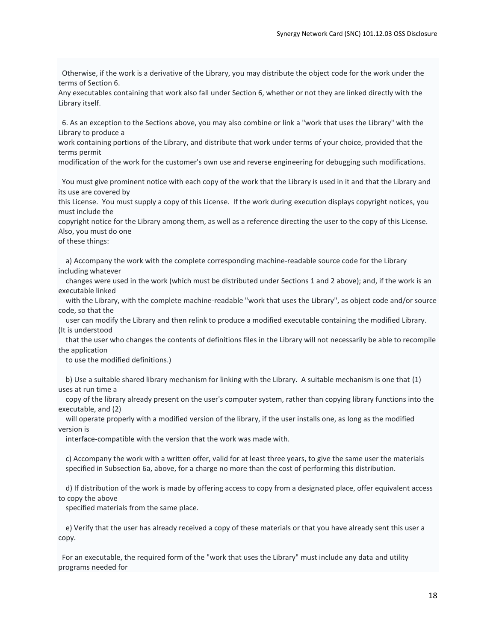Otherwise, if the work is a derivative of the Library, you may distribute the object code for the work under the terms of Section 6.

Any executables containing that work also fall under Section 6, whether or not they are linked directly with the Library itself.

 6. As an exception to the Sections above, you may also combine or link a "work that uses the Library" with the Library to produce a

work containing portions of the Library, and distribute that work under terms of your choice, provided that the terms permit

modification of the work for the customer's own use and reverse engineering for debugging such modifications.

 You must give prominent notice with each copy of the work that the Library is used in it and that the Library and its use are covered by

this License. You must supply a copy of this License. If the work during execution displays copyright notices, you must include the

copyright notice for the Library among them, as well as a reference directing the user to the copy of this License. Also, you must do one

of these things:

 a) Accompany the work with the complete corresponding machine-readable source code for the Library including whatever

 changes were used in the work (which must be distributed under Sections 1 and 2 above); and, if the work is an executable linked

 with the Library, with the complete machine-readable "work that uses the Library", as object code and/or source code, so that the

 user can modify the Library and then relink to produce a modified executable containing the modified Library. (It is understood

 that the user who changes the contents of definitions files in the Library will not necessarily be able to recompile the application

to use the modified definitions.)

 b) Use a suitable shared library mechanism for linking with the Library. A suitable mechanism is one that (1) uses at run time a

 copy of the library already present on the user's computer system, rather than copying library functions into the executable, and (2)

 will operate properly with a modified version of the library, if the user installs one, as long as the modified version is

interface-compatible with the version that the work was made with.

 c) Accompany the work with a written offer, valid for at least three years, to give the same user the materials specified in Subsection 6a, above, for a charge no more than the cost of performing this distribution.

 d) If distribution of the work is made by offering access to copy from a designated place, offer equivalent access to copy the above

specified materials from the same place.

 e) Verify that the user has already received a copy of these materials or that you have already sent this user a copy.

 For an executable, the required form of the "work that uses the Library" must include any data and utility programs needed for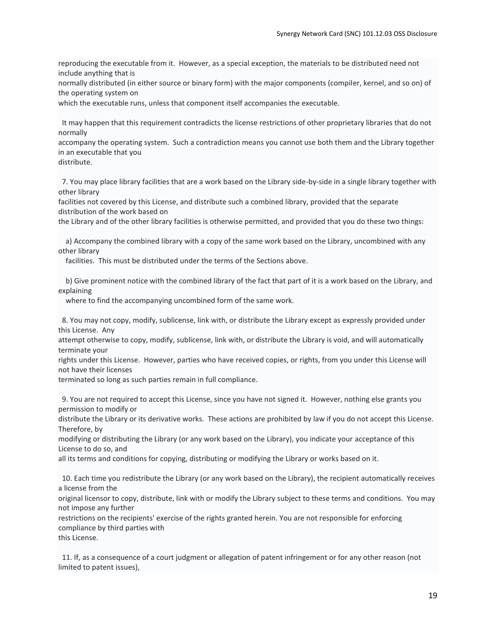reproducing the executable from it. However, as a special exception, the materials to be distributed need not include anything that is

normally distributed (in either source or binary form) with the major components (compiler, kernel, and so on) of the operating system on

which the executable runs, unless that component itself accompanies the executable.

 It may happen that this requirement contradicts the license restrictions of other proprietary libraries that do not normally

accompany the operating system. Such a contradiction means you cannot use both them and the Library together in an executable that you

distribute.

 7. You may place library facilities that are a work based on the Library side-by-side in a single library together with other library

facilities not covered by this License, and distribute such a combined library, provided that the separate distribution of the work based on

the Library and of the other library facilities is otherwise permitted, and provided that you do these two things:

 a) Accompany the combined library with a copy of the same work based on the Library, uncombined with any other library

facilities. This must be distributed under the terms of the Sections above.

 b) Give prominent notice with the combined library of the fact that part of it is a work based on the Library, and explaining

where to find the accompanying uncombined form of the same work.

 8. You may not copy, modify, sublicense, link with, or distribute the Library except as expressly provided under this License. Any

attempt otherwise to copy, modify, sublicense, link with, or distribute the Library is void, and will automatically terminate your

rights under this License. However, parties who have received copies, or rights, from you under this License will not have their licenses

terminated so long as such parties remain in full compliance.

 9. You are not required to accept this License, since you have not signed it. However, nothing else grants you permission to modify or

distribute the Library or its derivative works. These actions are prohibited by law if you do not accept this License. Therefore, by

modifying or distributing the Library (or any work based on the Library), you indicate your acceptance of this License to do so, and

all its terms and conditions for copying, distributing or modifying the Library or works based on it.

 10. Each time you redistribute the Library (or any work based on the Library), the recipient automatically receives a license from the

original licensor to copy, distribute, link with or modify the Library subject to these terms and conditions. You may not impose any further

restrictions on the recipients' exercise of the rights granted herein. You are not responsible for enforcing compliance by third parties with

this License.

 11. If, as a consequence of a court judgment or allegation of patent infringement or for any other reason (not limited to patent issues),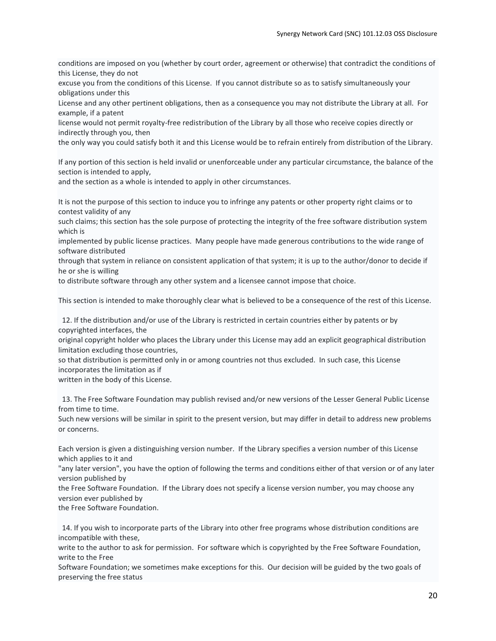conditions are imposed on you (whether by court order, agreement or otherwise) that contradict the conditions of this License, they do not

excuse you from the conditions of this License. If you cannot distribute so as to satisfy simultaneously your obligations under this

License and any other pertinent obligations, then as a consequence you may not distribute the Library at all. For example, if a patent

license would not permit royalty-free redistribution of the Library by all those who receive copies directly or indirectly through you, then

the only way you could satisfy both it and this License would be to refrain entirely from distribution of the Library.

If any portion of this section is held invalid or unenforceable under any particular circumstance, the balance of the section is intended to apply,

and the section as a whole is intended to apply in other circumstances.

It is not the purpose of this section to induce you to infringe any patents or other property right claims or to contest validity of any

such claims; this section has the sole purpose of protecting the integrity of the free software distribution system which is

implemented by public license practices. Many people have made generous contributions to the wide range of software distributed

through that system in reliance on consistent application of that system; it is up to the author/donor to decide if he or she is willing

to distribute software through any other system and a licensee cannot impose that choice.

This section is intended to make thoroughly clear what is believed to be a consequence of the rest of this License.

 12. If the distribution and/or use of the Library is restricted in certain countries either by patents or by copyrighted interfaces, the

original copyright holder who places the Library under this License may add an explicit geographical distribution limitation excluding those countries,

so that distribution is permitted only in or among countries not thus excluded. In such case, this License incorporates the limitation as if

written in the body of this License.

 13. The Free Software Foundation may publish revised and/or new versions of the Lesser General Public License from time to time.

Such new versions will be similar in spirit to the present version, but may differ in detail to address new problems or concerns.

Each version is given a distinguishing version number. If the Library specifies a version number of this License which applies to it and

"any later version", you have the option of following the terms and conditions either of that version or of any later version published by

the Free Software Foundation. If the Library does not specify a license version number, you may choose any version ever published by

the Free Software Foundation.

 14. If you wish to incorporate parts of the Library into other free programs whose distribution conditions are incompatible with these,

write to the author to ask for permission. For software which is copyrighted by the Free Software Foundation, write to the Free

Software Foundation; we sometimes make exceptions for this. Our decision will be guided by the two goals of preserving the free status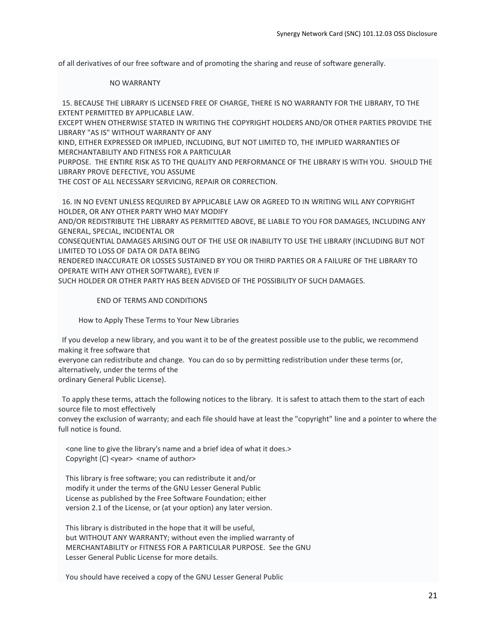of all derivatives of our free software and of promoting the sharing and reuse of software generally.

## NO WARRANTY

 15. BECAUSE THE LIBRARY IS LICENSED FREE OF CHARGE, THERE IS NO WARRANTY FOR THE LIBRARY, TO THE EXTENT PERMITTED BY APPLICABLE LAW.

EXCEPT WHEN OTHERWISE STATED IN WRITING THE COPYRIGHT HOLDERS AND/OR OTHER PARTIES PROVIDE THE LIBRARY "AS IS" WITHOUT WARRANTY OF ANY

KIND, EITHER EXPRESSED OR IMPLIED, INCLUDING, BUT NOT LIMITED TO, THE IMPLIED WARRANTIES OF MERCHANTABILITY AND FITNESS FOR A PARTICULAR

PURPOSE. THE ENTIRE RISK AS TO THE QUALITY AND PERFORMANCE OF THE LIBRARY IS WITH YOU. SHOULD THE LIBRARY PROVE DEFECTIVE, YOU ASSUME

THE COST OF ALL NECESSARY SERVICING, REPAIR OR CORRECTION.

 16. IN NO EVENT UNLESS REQUIRED BY APPLICABLE LAW OR AGREED TO IN WRITING WILL ANY COPYRIGHT HOLDER, OR ANY OTHER PARTY WHO MAY MODIFY

AND/OR REDISTRIBUTE THE LIBRARY AS PERMITTED ABOVE, BE LIABLE TO YOU FOR DAMAGES, INCLUDING ANY GENERAL, SPECIAL, INCIDENTAL OR

CONSEQUENTIAL DAMAGES ARISING OUT OF THE USE OR INABILITY TO USE THE LIBRARY (INCLUDING BUT NOT LIMITED TO LOSS OF DATA OR DATA BEING

RENDERED INACCURATE OR LOSSES SUSTAINED BY YOU OR THIRD PARTIES OR A FAILURE OF THE LIBRARY TO OPERATE WITH ANY OTHER SOFTWARE), EVEN IF

SUCH HOLDER OR OTHER PARTY HAS BEEN ADVISED OF THE POSSIBILITY OF SUCH DAMAGES.

## END OF TERMS AND CONDITIONS

How to Apply These Terms to Your New Libraries

 If you develop a new library, and you want it to be of the greatest possible use to the public, we recommend making it free software that

everyone can redistribute and change. You can do so by permitting redistribution under these terms (or, alternatively, under the terms of the

ordinary General Public License).

 To apply these terms, attach the following notices to the library. It is safest to attach them to the start of each source file to most effectively

convey the exclusion of warranty; and each file should have at least the "copyright" line and a pointer to where the full notice is found.

 <one line to give the library's name and a brief idea of what it does.> Copyright (C) <year> <name of author>

 This library is free software; you can redistribute it and/or modify it under the terms of the GNU Lesser General Public License as published by the Free Software Foundation; either version 2.1 of the License, or (at your option) any later version.

 This library is distributed in the hope that it will be useful, but WITHOUT ANY WARRANTY; without even the implied warranty of MERCHANTABILITY or FITNESS FOR A PARTICULAR PURPOSE. See the GNU Lesser General Public License for more details.

You should have received a copy of the GNU Lesser General Public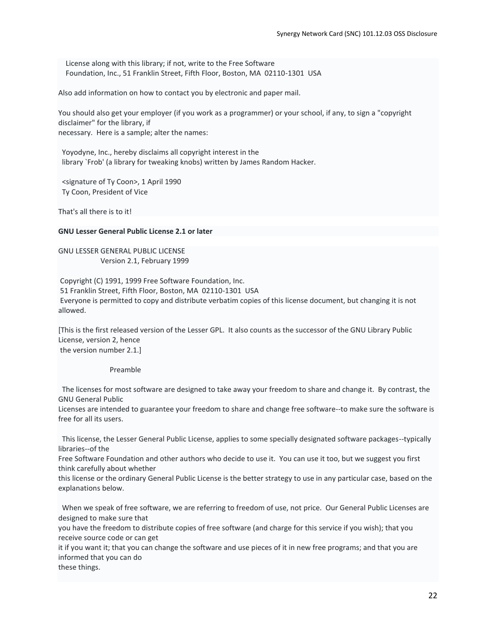License along with this library; if not, write to the Free Software Foundation, Inc., 51 Franklin Street, Fifth Floor, Boston, MA 02110-1301 USA

Also add information on how to contact you by electronic and paper mail.

You should also get your employer (if you work as a programmer) or your school, if any, to sign a "copyright disclaimer" for the library, if

necessary. Here is a sample; alter the names:

 Yoyodyne, Inc., hereby disclaims all copyright interest in the library `Frob' (a library for tweaking knobs) written by James Random Hacker.

 <signature of Ty Coon>, 1 April 1990 Ty Coon, President of Vice

That's all there is to it!

## **GNU Lesser General Public License 2.1 or later**

GNU LESSER GENERAL PUBLIC LICENSE Version 2.1, February 1999

Copyright (C) 1991, 1999 Free Software Foundation, Inc.

51 Franklin Street, Fifth Floor, Boston, MA 02110-1301 USA Everyone is permitted to copy and distribute verbatim copies of this license document, but changing it is not allowed.

[This is the first released version of the Lesser GPL. It also counts as the successor of the GNU Library Public License, version 2, hence the version number 2.1.]

Preamble

 The licenses for most software are designed to take away your freedom to share and change it. By contrast, the GNU General Public

Licenses are intended to guarantee your freedom to share and change free software--to make sure the software is free for all its users.

 This license, the Lesser General Public License, applies to some specially designated software packages--typically libraries--of the

Free Software Foundation and other authors who decide to use it. You can use it too, but we suggest you first think carefully about whether

this license or the ordinary General Public License is the better strategy to use in any particular case, based on the explanations below.

 When we speak of free software, we are referring to freedom of use, not price. Our General Public Licenses are designed to make sure that

you have the freedom to distribute copies of free software (and charge for this service if you wish); that you receive source code or can get

it if you want it; that you can change the software and use pieces of it in new free programs; and that you are informed that you can do

these things.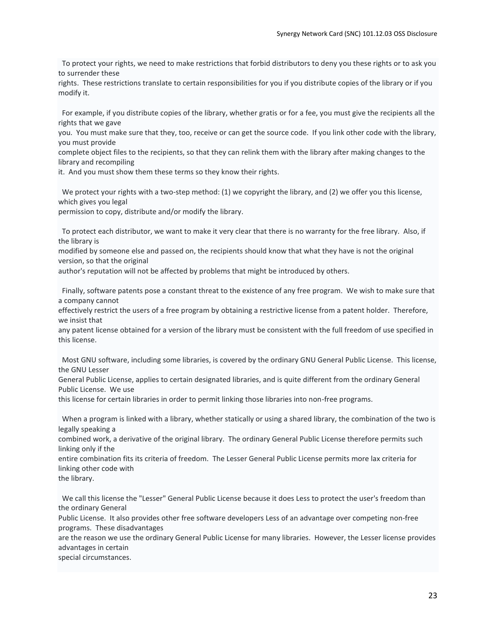To protect your rights, we need to make restrictions that forbid distributors to deny you these rights or to ask you to surrender these

rights. These restrictions translate to certain responsibilities for you if you distribute copies of the library or if you modify it.

 For example, if you distribute copies of the library, whether gratis or for a fee, you must give the recipients all the rights that we gave

you. You must make sure that they, too, receive or can get the source code. If you link other code with the library, you must provide

complete object files to the recipients, so that they can relink them with the library after making changes to the library and recompiling

it. And you must show them these terms so they know their rights.

We protect your rights with a two-step method: (1) we copyright the library, and (2) we offer you this license, which gives you legal

permission to copy, distribute and/or modify the library.

 To protect each distributor, we want to make it very clear that there is no warranty for the free library. Also, if the library is

modified by someone else and passed on, the recipients should know that what they have is not the original version, so that the original

author's reputation will not be affected by problems that might be introduced by others.

 Finally, software patents pose a constant threat to the existence of any free program. We wish to make sure that a company cannot

effectively restrict the users of a free program by obtaining a restrictive license from a patent holder. Therefore, we insist that

any patent license obtained for a version of the library must be consistent with the full freedom of use specified in this license.

 Most GNU software, including some libraries, is covered by the ordinary GNU General Public License. This license, the GNU Lesser

General Public License, applies to certain designated libraries, and is quite different from the ordinary General Public License. We use

this license for certain libraries in order to permit linking those libraries into non-free programs.

 When a program is linked with a library, whether statically or using a shared library, the combination of the two is legally speaking a

combined work, a derivative of the original library. The ordinary General Public License therefore permits such linking only if the

entire combination fits its criteria of freedom. The Lesser General Public License permits more lax criteria for linking other code with

the library.

 We call this license the "Lesser" General Public License because it does Less to protect the user's freedom than the ordinary General

Public License. It also provides other free software developers Less of an advantage over competing non-free programs. These disadvantages

are the reason we use the ordinary General Public License for many libraries. However, the Lesser license provides advantages in certain

special circumstances.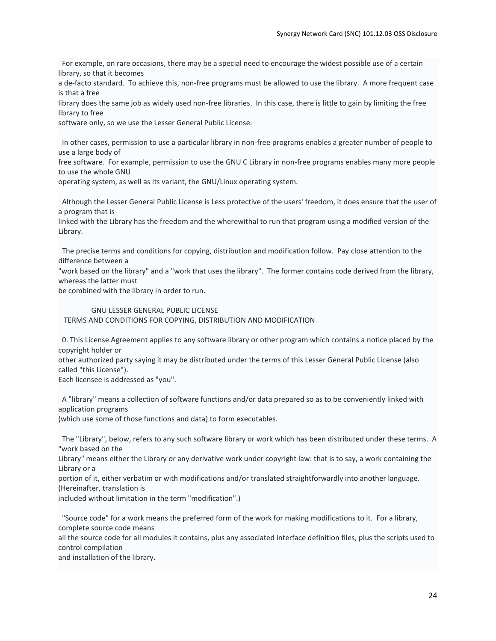For example, on rare occasions, there may be a special need to encourage the widest possible use of a certain library, so that it becomes

a de-facto standard. To achieve this, non-free programs must be allowed to use the library. A more frequent case is that a free

library does the same job as widely used non-free libraries. In this case, there is little to gain by limiting the free library to free

software only, so we use the Lesser General Public License.

 In other cases, permission to use a particular library in non-free programs enables a greater number of people to use a large body of

free software. For example, permission to use the GNU C Library in non-free programs enables many more people to use the whole GNU

operating system, as well as its variant, the GNU/Linux operating system.

 Although the Lesser General Public License is Less protective of the users' freedom, it does ensure that the user of a program that is

linked with the Library has the freedom and the wherewithal to run that program using a modified version of the Library.

 The precise terms and conditions for copying, distribution and modification follow. Pay close attention to the difference between a

"work based on the library" and a "work that uses the library". The former contains code derived from the library, whereas the latter must

be combined with the library in order to run.

# GNU LESSER GENERAL PUBLIC LICENSE

TERMS AND CONDITIONS FOR COPYING, DISTRIBUTION AND MODIFICATION

 0. This License Agreement applies to any software library or other program which contains a notice placed by the copyright holder or

other authorized party saying it may be distributed under the terms of this Lesser General Public License (also called "this License").

Each licensee is addressed as "you".

 A "library" means a collection of software functions and/or data prepared so as to be conveniently linked with application programs

(which use some of those functions and data) to form executables.

 The "Library", below, refers to any such software library or work which has been distributed under these terms. A "work based on the

Library" means either the Library or any derivative work under copyright law: that is to say, a work containing the Library or a

portion of it, either verbatim or with modifications and/or translated straightforwardly into another language. (Hereinafter, translation is

included without limitation in the term "modification".)

 "Source code" for a work means the preferred form of the work for making modifications to it. For a library, complete source code means

all the source code for all modules it contains, plus any associated interface definition files, plus the scripts used to control compilation

and installation of the library.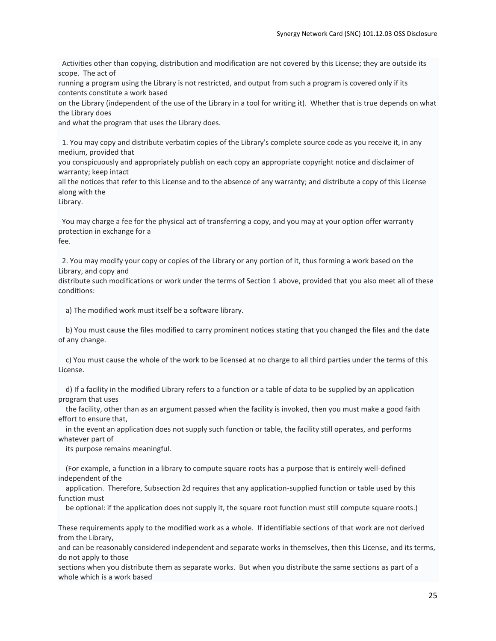Activities other than copying, distribution and modification are not covered by this License; they are outside its scope. The act of

running a program using the Library is not restricted, and output from such a program is covered only if its contents constitute a work based

on the Library (independent of the use of the Library in a tool for writing it). Whether that is true depends on what the Library does

and what the program that uses the Library does.

 1. You may copy and distribute verbatim copies of the Library's complete source code as you receive it, in any medium, provided that

you conspicuously and appropriately publish on each copy an appropriate copyright notice and disclaimer of warranty; keep intact

all the notices that refer to this License and to the absence of any warranty; and distribute a copy of this License along with the

Library.

 You may charge a fee for the physical act of transferring a copy, and you may at your option offer warranty protection in exchange for a fee.

 2. You may modify your copy or copies of the Library or any portion of it, thus forming a work based on the Library, and copy and

distribute such modifications or work under the terms of Section 1 above, provided that you also meet all of these conditions:

a) The modified work must itself be a software library.

 b) You must cause the files modified to carry prominent notices stating that you changed the files and the date of any change.

 c) You must cause the whole of the work to be licensed at no charge to all third parties under the terms of this License.

 d) If a facility in the modified Library refers to a function or a table of data to be supplied by an application program that uses

 the facility, other than as an argument passed when the facility is invoked, then you must make a good faith effort to ensure that,

 in the event an application does not supply such function or table, the facility still operates, and performs whatever part of

its purpose remains meaningful.

 (For example, a function in a library to compute square roots has a purpose that is entirely well-defined independent of the

 application. Therefore, Subsection 2d requires that any application-supplied function or table used by this function must

be optional: if the application does not supply it, the square root function must still compute square roots.)

These requirements apply to the modified work as a whole. If identifiable sections of that work are not derived from the Library,

and can be reasonably considered independent and separate works in themselves, then this License, and its terms, do not apply to those

sections when you distribute them as separate works. But when you distribute the same sections as part of a whole which is a work based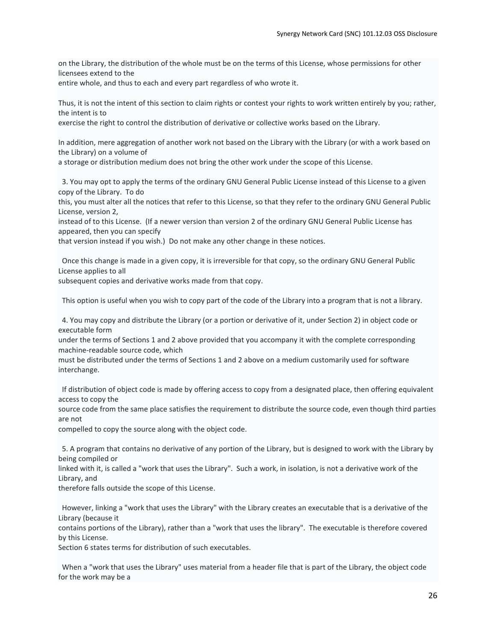on the Library, the distribution of the whole must be on the terms of this License, whose permissions for other licensees extend to the

entire whole, and thus to each and every part regardless of who wrote it.

Thus, it is not the intent of this section to claim rights or contest your rights to work written entirely by you; rather, the intent is to

exercise the right to control the distribution of derivative or collective works based on the Library.

In addition, mere aggregation of another work not based on the Library with the Library (or with a work based on the Library) on a volume of

a storage or distribution medium does not bring the other work under the scope of this License.

 3. You may opt to apply the terms of the ordinary GNU General Public License instead of this License to a given copy of the Library. To do

this, you must alter all the notices that refer to this License, so that they refer to the ordinary GNU General Public License, version 2,

instead of to this License. (If a newer version than version 2 of the ordinary GNU General Public License has appeared, then you can specify

that version instead if you wish.) Do not make any other change in these notices.

 Once this change is made in a given copy, it is irreversible for that copy, so the ordinary GNU General Public License applies to all

subsequent copies and derivative works made from that copy.

This option is useful when you wish to copy part of the code of the Library into a program that is not a library.

 4. You may copy and distribute the Library (or a portion or derivative of it, under Section 2) in object code or executable form

under the terms of Sections 1 and 2 above provided that you accompany it with the complete corresponding machine-readable source code, which

must be distributed under the terms of Sections 1 and 2 above on a medium customarily used for software interchange.

 If distribution of object code is made by offering access to copy from a designated place, then offering equivalent access to copy the

source code from the same place satisfies the requirement to distribute the source code, even though third parties are not

compelled to copy the source along with the object code.

 5. A program that contains no derivative of any portion of the Library, but is designed to work with the Library by being compiled or

linked with it, is called a "work that uses the Library". Such a work, in isolation, is not a derivative work of the Library, and

therefore falls outside the scope of this License.

 However, linking a "work that uses the Library" with the Library creates an executable that is a derivative of the Library (because it

contains portions of the Library), rather than a "work that uses the library". The executable is therefore covered by this License.

Section 6 states terms for distribution of such executables.

 When a "work that uses the Library" uses material from a header file that is part of the Library, the object code for the work may be a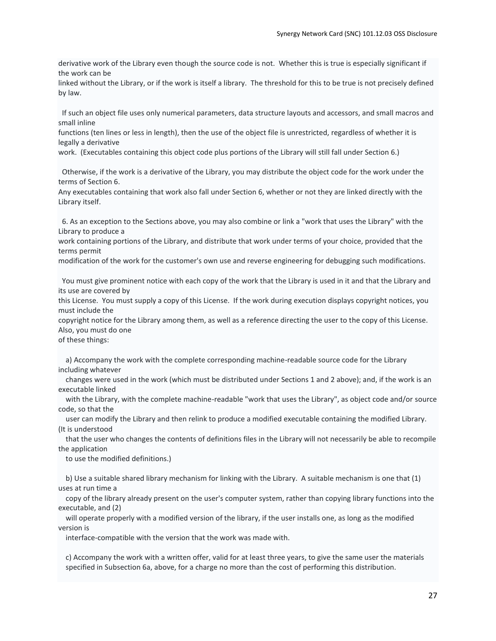derivative work of the Library even though the source code is not. Whether this is true is especially significant if the work can be

linked without the Library, or if the work is itself a library. The threshold for this to be true is not precisely defined by law.

 If such an object file uses only numerical parameters, data structure layouts and accessors, and small macros and small inline

functions (ten lines or less in length), then the use of the object file is unrestricted, regardless of whether it is legally a derivative

work. (Executables containing this object code plus portions of the Library will still fall under Section 6.)

 Otherwise, if the work is a derivative of the Library, you may distribute the object code for the work under the terms of Section 6.

Any executables containing that work also fall under Section 6, whether or not they are linked directly with the Library itself.

 6. As an exception to the Sections above, you may also combine or link a "work that uses the Library" with the Library to produce a

work containing portions of the Library, and distribute that work under terms of your choice, provided that the terms permit

modification of the work for the customer's own use and reverse engineering for debugging such modifications.

 You must give prominent notice with each copy of the work that the Library is used in it and that the Library and its use are covered by

this License. You must supply a copy of this License. If the work during execution displays copyright notices, you must include the

copyright notice for the Library among them, as well as a reference directing the user to the copy of this License. Also, you must do one

of these things:

 a) Accompany the work with the complete corresponding machine-readable source code for the Library including whatever

 changes were used in the work (which must be distributed under Sections 1 and 2 above); and, if the work is an executable linked

 with the Library, with the complete machine-readable "work that uses the Library", as object code and/or source code, so that the

 user can modify the Library and then relink to produce a modified executable containing the modified Library. (It is understood

 that the user who changes the contents of definitions files in the Library will not necessarily be able to recompile the application

to use the modified definitions.)

 b) Use a suitable shared library mechanism for linking with the Library. A suitable mechanism is one that (1) uses at run time a

 copy of the library already present on the user's computer system, rather than copying library functions into the executable, and (2)

 will operate properly with a modified version of the library, if the user installs one, as long as the modified version is

interface-compatible with the version that the work was made with.

 c) Accompany the work with a written offer, valid for at least three years, to give the same user the materials specified in Subsection 6a, above, for a charge no more than the cost of performing this distribution.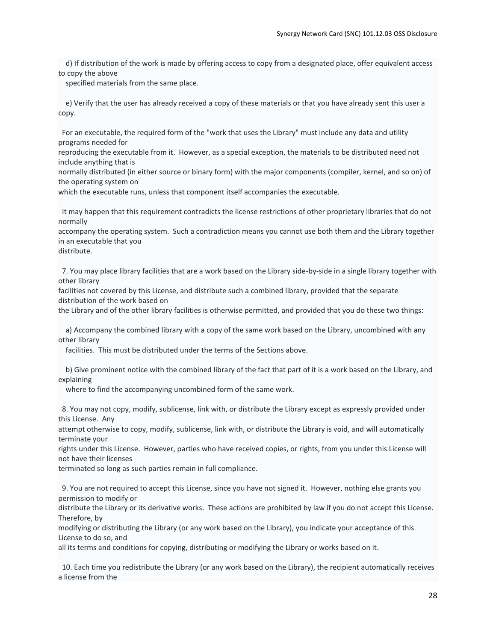d) If distribution of the work is made by offering access to copy from a designated place, offer equivalent access to copy the above

specified materials from the same place.

 e) Verify that the user has already received a copy of these materials or that you have already sent this user a copy.

 For an executable, the required form of the "work that uses the Library" must include any data and utility programs needed for

reproducing the executable from it. However, as a special exception, the materials to be distributed need not include anything that is

normally distributed (in either source or binary form) with the major components (compiler, kernel, and so on) of the operating system on

which the executable runs, unless that component itself accompanies the executable.

 It may happen that this requirement contradicts the license restrictions of other proprietary libraries that do not normally

accompany the operating system. Such a contradiction means you cannot use both them and the Library together in an executable that you distribute.

 7. You may place library facilities that are a work based on the Library side-by-side in a single library together with other library

facilities not covered by this License, and distribute such a combined library, provided that the separate distribution of the work based on

the Library and of the other library facilities is otherwise permitted, and provided that you do these two things:

 a) Accompany the combined library with a copy of the same work based on the Library, uncombined with any other library

facilities. This must be distributed under the terms of the Sections above.

 b) Give prominent notice with the combined library of the fact that part of it is a work based on the Library, and explaining

where to find the accompanying uncombined form of the same work.

 8. You may not copy, modify, sublicense, link with, or distribute the Library except as expressly provided under this License. Any

attempt otherwise to copy, modify, sublicense, link with, or distribute the Library is void, and will automatically terminate your

rights under this License. However, parties who have received copies, or rights, from you under this License will not have their licenses

terminated so long as such parties remain in full compliance.

 9. You are not required to accept this License, since you have not signed it. However, nothing else grants you permission to modify or

distribute the Library or its derivative works. These actions are prohibited by law if you do not accept this License. Therefore, by

modifying or distributing the Library (or any work based on the Library), you indicate your acceptance of this License to do so, and

all its terms and conditions for copying, distributing or modifying the Library or works based on it.

 10. Each time you redistribute the Library (or any work based on the Library), the recipient automatically receives a license from the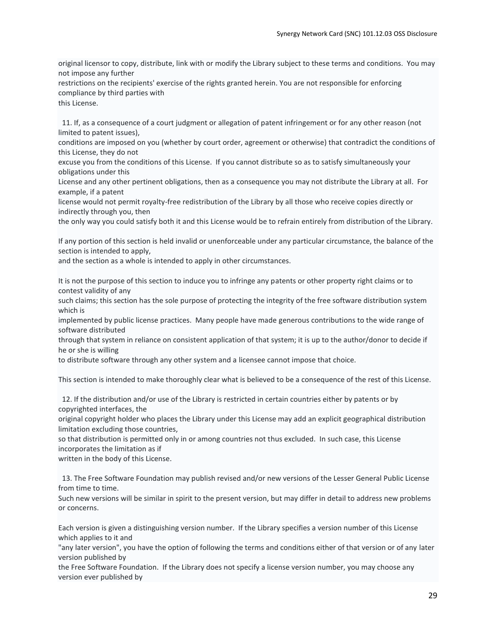original licensor to copy, distribute, link with or modify the Library subject to these terms and conditions. You may not impose any further

restrictions on the recipients' exercise of the rights granted herein. You are not responsible for enforcing compliance by third parties with this License.

 11. If, as a consequence of a court judgment or allegation of patent infringement or for any other reason (not limited to patent issues),

conditions are imposed on you (whether by court order, agreement or otherwise) that contradict the conditions of this License, they do not

excuse you from the conditions of this License. If you cannot distribute so as to satisfy simultaneously your obligations under this

License and any other pertinent obligations, then as a consequence you may not distribute the Library at all. For example, if a patent

license would not permit royalty-free redistribution of the Library by all those who receive copies directly or indirectly through you, then

the only way you could satisfy both it and this License would be to refrain entirely from distribution of the Library.

If any portion of this section is held invalid or unenforceable under any particular circumstance, the balance of the section is intended to apply,

and the section as a whole is intended to apply in other circumstances.

It is not the purpose of this section to induce you to infringe any patents or other property right claims or to contest validity of any

such claims; this section has the sole purpose of protecting the integrity of the free software distribution system which is

implemented by public license practices. Many people have made generous contributions to the wide range of software distributed

through that system in reliance on consistent application of that system; it is up to the author/donor to decide if he or she is willing

to distribute software through any other system and a licensee cannot impose that choice.

This section is intended to make thoroughly clear what is believed to be a consequence of the rest of this License.

 12. If the distribution and/or use of the Library is restricted in certain countries either by patents or by copyrighted interfaces, the

original copyright holder who places the Library under this License may add an explicit geographical distribution limitation excluding those countries,

so that distribution is permitted only in or among countries not thus excluded. In such case, this License incorporates the limitation as if

written in the body of this License.

 13. The Free Software Foundation may publish revised and/or new versions of the Lesser General Public License from time to time.

Such new versions will be similar in spirit to the present version, but may differ in detail to address new problems or concerns.

Each version is given a distinguishing version number. If the Library specifies a version number of this License which applies to it and

"any later version", you have the option of following the terms and conditions either of that version or of any later version published by

the Free Software Foundation. If the Library does not specify a license version number, you may choose any version ever published by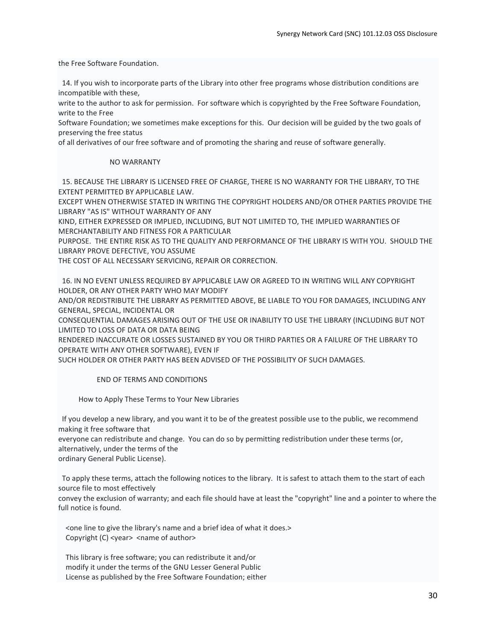the Free Software Foundation.

 14. If you wish to incorporate parts of the Library into other free programs whose distribution conditions are incompatible with these,

write to the author to ask for permission. For software which is copyrighted by the Free Software Foundation, write to the Free

Software Foundation; we sometimes make exceptions for this. Our decision will be guided by the two goals of preserving the free status

of all derivatives of our free software and of promoting the sharing and reuse of software generally.

## NO WARRANTY

 15. BECAUSE THE LIBRARY IS LICENSED FREE OF CHARGE, THERE IS NO WARRANTY FOR THE LIBRARY, TO THE EXTENT PERMITTED BY APPLICABLE LAW.

EXCEPT WHEN OTHERWISE STATED IN WRITING THE COPYRIGHT HOLDERS AND/OR OTHER PARTIES PROVIDE THE LIBRARY "AS IS" WITHOUT WARRANTY OF ANY

KIND, EITHER EXPRESSED OR IMPLIED, INCLUDING, BUT NOT LIMITED TO, THE IMPLIED WARRANTIES OF MERCHANTABILITY AND FITNESS FOR A PARTICULAR

PURPOSE. THE ENTIRE RISK AS TO THE QUALITY AND PERFORMANCE OF THE LIBRARY IS WITH YOU. SHOULD THE LIBRARY PROVE DEFECTIVE, YOU ASSUME

THE COST OF ALL NECESSARY SERVICING, REPAIR OR CORRECTION.

 16. IN NO EVENT UNLESS REQUIRED BY APPLICABLE LAW OR AGREED TO IN WRITING WILL ANY COPYRIGHT HOLDER, OR ANY OTHER PARTY WHO MAY MODIFY

AND/OR REDISTRIBUTE THE LIBRARY AS PERMITTED ABOVE, BE LIABLE TO YOU FOR DAMAGES, INCLUDING ANY GENERAL, SPECIAL, INCIDENTAL OR

CONSEQUENTIAL DAMAGES ARISING OUT OF THE USE OR INABILITY TO USE THE LIBRARY (INCLUDING BUT NOT LIMITED TO LOSS OF DATA OR DATA BEING

RENDERED INACCURATE OR LOSSES SUSTAINED BY YOU OR THIRD PARTIES OR A FAILURE OF THE LIBRARY TO OPERATE WITH ANY OTHER SOFTWARE), EVEN IF

SUCH HOLDER OR OTHER PARTY HAS BEEN ADVISED OF THE POSSIBILITY OF SUCH DAMAGES.

## END OF TERMS AND CONDITIONS

How to Apply These Terms to Your New Libraries

 If you develop a new library, and you want it to be of the greatest possible use to the public, we recommend making it free software that

everyone can redistribute and change. You can do so by permitting redistribution under these terms (or, alternatively, under the terms of the

ordinary General Public License).

 To apply these terms, attach the following notices to the library. It is safest to attach them to the start of each source file to most effectively

convey the exclusion of warranty; and each file should have at least the "copyright" line and a pointer to where the full notice is found.

 <one line to give the library's name and a brief idea of what it does.> Copyright (C) <year> <name of author>

 This library is free software; you can redistribute it and/or modify it under the terms of the GNU Lesser General Public License as published by the Free Software Foundation; either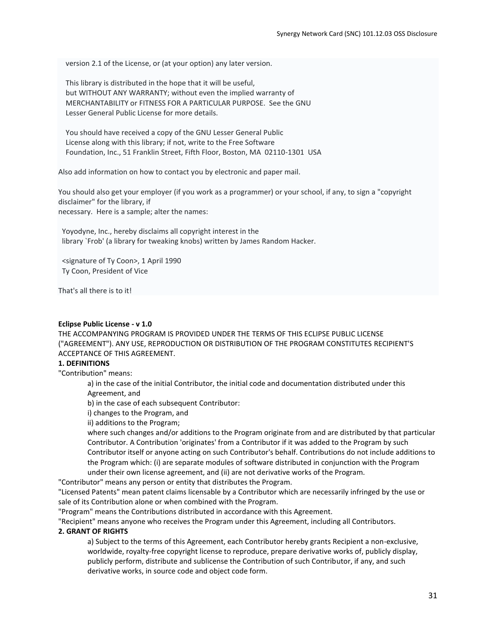version 2.1 of the License, or (at your option) any later version.

 This library is distributed in the hope that it will be useful, but WITHOUT ANY WARRANTY; without even the implied warranty of MERCHANTABILITY or FITNESS FOR A PARTICULAR PURPOSE. See the GNU Lesser General Public License for more details.

 You should have received a copy of the GNU Lesser General Public License along with this library; if not, write to the Free Software Foundation, Inc., 51 Franklin Street, Fifth Floor, Boston, MA 02110-1301 USA

Also add information on how to contact you by electronic and paper mail.

You should also get your employer (if you work as a programmer) or your school, if any, to sign a "copyright disclaimer" for the library, if necessary. Here is a sample; alter the names:

 Yoyodyne, Inc., hereby disclaims all copyright interest in the library `Frob' (a library for tweaking knobs) written by James Random Hacker.

 <signature of Ty Coon>, 1 April 1990 Ty Coon, President of Vice

That's all there is to it!

#### **Eclipse Public License - v 1.0**

THE ACCOMPANYING PROGRAM IS PROVIDED UNDER THE TERMS OF THIS ECLIPSE PUBLIC LICENSE ("AGREEMENT"). ANY USE, REPRODUCTION OR DISTRIBUTION OF THE PROGRAM CONSTITUTES RECIPIENT'S ACCEPTANCE OF THIS AGREEMENT.

## **1. DEFINITIONS**

"Contribution" means:

a) in the case of the initial Contributor, the initial code and documentation distributed under this Agreement, and

b) in the case of each subsequent Contributor:

i) changes to the Program, and

ii) additions to the Program;

where such changes and/or additions to the Program originate from and are distributed by that particular Contributor. A Contribution 'originates' from a Contributor if it was added to the Program by such Contributor itself or anyone acting on such Contributor's behalf. Contributions do not include additions to the Program which: (i) are separate modules of software distributed in conjunction with the Program under their own license agreement, and (ii) are not derivative works of the Program.

"Contributor" means any person or entity that distributes the Program.

"Licensed Patents" mean patent claims licensable by a Contributor which are necessarily infringed by the use or sale of its Contribution alone or when combined with the Program.

"Program" means the Contributions distributed in accordance with this Agreement.

"Recipient" means anyone who receives the Program under this Agreement, including all Contributors.

#### **2. GRANT OF RIGHTS**

a) Subject to the terms of this Agreement, each Contributor hereby grants Recipient a non-exclusive, worldwide, royalty-free copyright license to reproduce, prepare derivative works of, publicly display, publicly perform, distribute and sublicense the Contribution of such Contributor, if any, and such derivative works, in source code and object code form.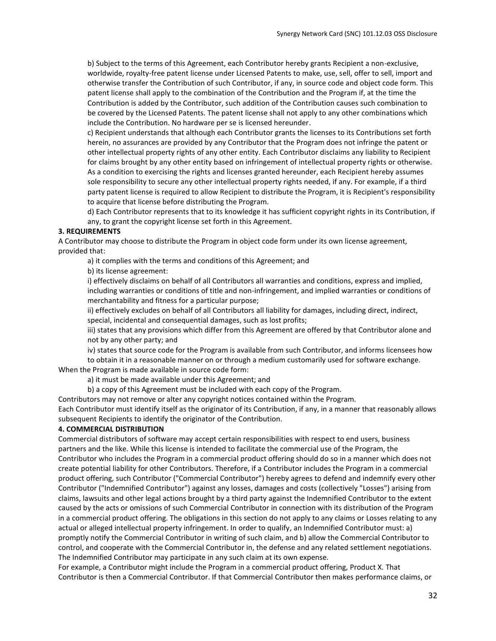b) Subject to the terms of this Agreement, each Contributor hereby grants Recipient a non-exclusive, worldwide, royalty-free patent license under Licensed Patents to make, use, sell, offer to sell, import and otherwise transfer the Contribution of such Contributor, if any, in source code and object code form. This patent license shall apply to the combination of the Contribution and the Program if, at the time the Contribution is added by the Contributor, such addition of the Contribution causes such combination to be covered by the Licensed Patents. The patent license shall not apply to any other combinations which include the Contribution. No hardware per se is licensed hereunder.

c) Recipient understands that although each Contributor grants the licenses to its Contributions set forth herein, no assurances are provided by any Contributor that the Program does not infringe the patent or other intellectual property rights of any other entity. Each Contributor disclaims any liability to Recipient for claims brought by any other entity based on infringement of intellectual property rights or otherwise. As a condition to exercising the rights and licenses granted hereunder, each Recipient hereby assumes sole responsibility to secure any other intellectual property rights needed, if any. For example, if a third party patent license is required to allow Recipient to distribute the Program, it is Recipient's responsibility to acquire that license before distributing the Program.

d) Each Contributor represents that to its knowledge it has sufficient copyright rights in its Contribution, if any, to grant the copyright license set forth in this Agreement.

## **3. REQUIREMENTS**

A Contributor may choose to distribute the Program in object code form under its own license agreement, provided that:

a) it complies with the terms and conditions of this Agreement; and

b) its license agreement:

i) effectively disclaims on behalf of all Contributors all warranties and conditions, express and implied, including warranties or conditions of title and non-infringement, and implied warranties or conditions of merchantability and fitness for a particular purpose;

ii) effectively excludes on behalf of all Contributors all liability for damages, including direct, indirect, special, incidental and consequential damages, such as lost profits;

iii) states that any provisions which differ from this Agreement are offered by that Contributor alone and not by any other party; and

iv) states that source code for the Program is available from such Contributor, and informs licensees how

to obtain it in a reasonable manner on or through a medium customarily used for software exchange.

When the Program is made available in source code form:

a) it must be made available under this Agreement; and

b) a copy of this Agreement must be included with each copy of the Program.

Contributors may not remove or alter any copyright notices contained within the Program.

Each Contributor must identify itself as the originator of its Contribution, if any, in a manner that reasonably allows subsequent Recipients to identify the originator of the Contribution.

## **4. COMMERCIAL DISTRIBUTION**

Commercial distributors of software may accept certain responsibilities with respect to end users, business partners and the like. While this license is intended to facilitate the commercial use of the Program, the Contributor who includes the Program in a commercial product offering should do so in a manner which does not create potential liability for other Contributors. Therefore, if a Contributor includes the Program in a commercial product offering, such Contributor ("Commercial Contributor") hereby agrees to defend and indemnify every other Contributor ("Indemnified Contributor") against any losses, damages and costs (collectively "Losses") arising from claims, lawsuits and other legal actions brought by a third party against the Indemnified Contributor to the extent caused by the acts or omissions of such Commercial Contributor in connection with its distribution of the Program in a commercial product offering. The obligations in this section do not apply to any claims or Losses relating to any actual or alleged intellectual property infringement. In order to qualify, an Indemnified Contributor must: a) promptly notify the Commercial Contributor in writing of such claim, and b) allow the Commercial Contributor to control, and cooperate with the Commercial Contributor in, the defense and any related settlement negotiations. The Indemnified Contributor may participate in any such claim at its own expense.

For example, a Contributor might include the Program in a commercial product offering, Product X. That Contributor is then a Commercial Contributor. If that Commercial Contributor then makes performance claims, or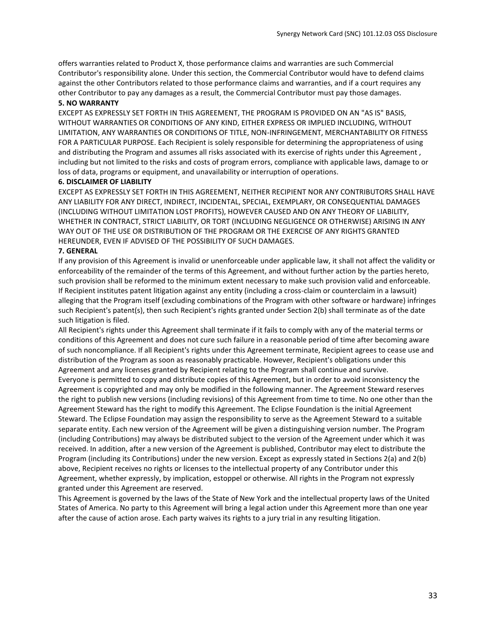offers warranties related to Product X, those performance claims and warranties are such Commercial Contributor's responsibility alone. Under this section, the Commercial Contributor would have to defend claims against the other Contributors related to those performance claims and warranties, and if a court requires any other Contributor to pay any damages as a result, the Commercial Contributor must pay those damages.

### **5. NO WARRANTY**

EXCEPT AS EXPRESSLY SET FORTH IN THIS AGREEMENT, THE PROGRAM IS PROVIDED ON AN "AS IS" BASIS, WITHOUT WARRANTIES OR CONDITIONS OF ANY KIND, EITHER EXPRESS OR IMPLIED INCLUDING, WITHOUT LIMITATION, ANY WARRANTIES OR CONDITIONS OF TITLE, NON-INFRINGEMENT, MERCHANTABILITY OR FITNESS FOR A PARTICULAR PURPOSE. Each Recipient is solely responsible for determining the appropriateness of using and distributing the Program and assumes all risks associated with its exercise of rights under this Agreement , including but not limited to the risks and costs of program errors, compliance with applicable laws, damage to or loss of data, programs or equipment, and unavailability or interruption of operations.

#### **6. DISCLAIMER OF LIABILITY**

EXCEPT AS EXPRESSLY SET FORTH IN THIS AGREEMENT, NEITHER RECIPIENT NOR ANY CONTRIBUTORS SHALL HAVE ANY LIABILITY FOR ANY DIRECT, INDIRECT, INCIDENTAL, SPECIAL, EXEMPLARY, OR CONSEQUENTIAL DAMAGES (INCLUDING WITHOUT LIMITATION LOST PROFITS), HOWEVER CAUSED AND ON ANY THEORY OF LIABILITY, WHETHER IN CONTRACT, STRICT LIABILITY, OR TORT (INCLUDING NEGLIGENCE OR OTHERWISE) ARISING IN ANY WAY OUT OF THE USE OR DISTRIBUTION OF THE PROGRAM OR THE EXERCISE OF ANY RIGHTS GRANTED HEREUNDER, EVEN IF ADVISED OF THE POSSIBILITY OF SUCH DAMAGES.

#### **7. GENERAL**

If any provision of this Agreement is invalid or unenforceable under applicable law, it shall not affect the validity or enforceability of the remainder of the terms of this Agreement, and without further action by the parties hereto, such provision shall be reformed to the minimum extent necessary to make such provision valid and enforceable. If Recipient institutes patent litigation against any entity (including a cross-claim or counterclaim in a lawsuit) alleging that the Program itself (excluding combinations of the Program with other software or hardware) infringes such Recipient's patent(s), then such Recipient's rights granted under Section 2(b) shall terminate as of the date such litigation is filed.

All Recipient's rights under this Agreement shall terminate if it fails to comply with any of the material terms or conditions of this Agreement and does not cure such failure in a reasonable period of time after becoming aware of such noncompliance. If all Recipient's rights under this Agreement terminate, Recipient agrees to cease use and distribution of the Program as soon as reasonably practicable. However, Recipient's obligations under this Agreement and any licenses granted by Recipient relating to the Program shall continue and survive. Everyone is permitted to copy and distribute copies of this Agreement, but in order to avoid inconsistency the Agreement is copyrighted and may only be modified in the following manner. The Agreement Steward reserves the right to publish new versions (including revisions) of this Agreement from time to time. No one other than the Agreement Steward has the right to modify this Agreement. The Eclipse Foundation is the initial Agreement Steward. The Eclipse Foundation may assign the responsibility to serve as the Agreement Steward to a suitable separate entity. Each new version of the Agreement will be given a distinguishing version number. The Program (including Contributions) may always be distributed subject to the version of the Agreement under which it was received. In addition, after a new version of the Agreement is published, Contributor may elect to distribute the Program (including its Contributions) under the new version. Except as expressly stated in Sections 2(a) and 2(b) above, Recipient receives no rights or licenses to the intellectual property of any Contributor under this Agreement, whether expressly, by implication, estoppel or otherwise. All rights in the Program not expressly granted under this Agreement are reserved.

This Agreement is governed by the laws of the State of New York and the intellectual property laws of the United States of America. No party to this Agreement will bring a legal action under this Agreement more than one year after the cause of action arose. Each party waives its rights to a jury trial in any resulting litigation.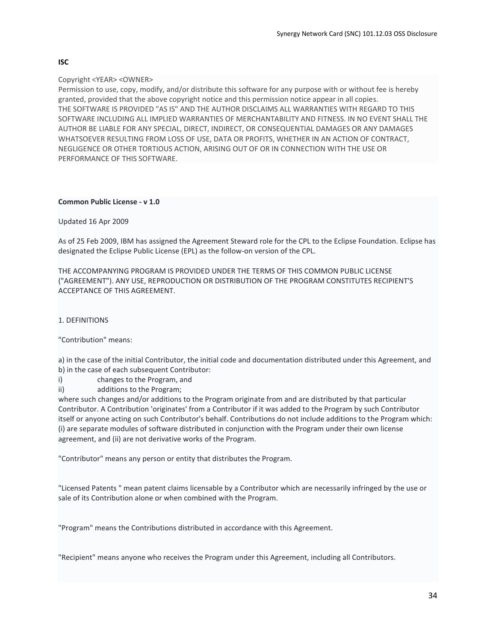# **ISC**

# Copyright <YEAR> <OWNER>

Permission to use, copy, modify, and/or distribute this software for any purpose with or without fee is hereby granted, provided that the above copyright notice and this permission notice appear in all copies. THE SOFTWARE IS PROVIDED "AS IS" AND THE AUTHOR DISCLAIMS ALL WARRANTIES WITH REGARD TO THIS SOFTWARE INCLUDING ALL IMPLIED WARRANTIES OF MERCHANTABILITY AND FITNESS. IN NO EVENT SHALL THE AUTHOR BE LIABLE FOR ANY SPECIAL, DIRECT, INDIRECT, OR CONSEQUENTIAL DAMAGES OR ANY DAMAGES WHATSOEVER RESULTING FROM LOSS OF USE, DATA OR PROFITS, WHETHER IN AN ACTION OF CONTRACT, NEGLIGENCE OR OTHER TORTIOUS ACTION, ARISING OUT OF OR IN CONNECTION WITH THE USE OR PERFORMANCE OF THIS SOFTWARE.

# **Common Public License - v 1.0**

# Updated 16 Apr 2009

As of 25 Feb 2009, IBM has assigned the Agreement Steward role for the CPL to the Eclipse Foundation. Eclipse has designated the Eclipse Public License (EPL) as the follow-on version of the CPL.

THE ACCOMPANYING PROGRAM IS PROVIDED UNDER THE TERMS OF THIS COMMON PUBLIC LICENSE ("AGREEMENT"). ANY USE, REPRODUCTION OR DISTRIBUTION OF THE PROGRAM CONSTITUTES RECIPIENT'S ACCEPTANCE OF THIS AGREEMENT.

# 1. DEFINITIONS

"Contribution" means:

a) in the case of the initial Contributor, the initial code and documentation distributed under this Agreement, and b) in the case of each subsequent Contributor:

i) changes to the Program, and

ii) additions to the Program;

where such changes and/or additions to the Program originate from and are distributed by that particular Contributor. A Contribution 'originates' from a Contributor if it was added to the Program by such Contributor itself or anyone acting on such Contributor's behalf. Contributions do not include additions to the Program which: (i) are separate modules of software distributed in conjunction with the Program under their own license agreement, and (ii) are not derivative works of the Program.

"Contributor" means any person or entity that distributes the Program.

"Licensed Patents " mean patent claims licensable by a Contributor which are necessarily infringed by the use or sale of its Contribution alone or when combined with the Program.

"Program" means the Contributions distributed in accordance with this Agreement.

"Recipient" means anyone who receives the Program under this Agreement, including all Contributors.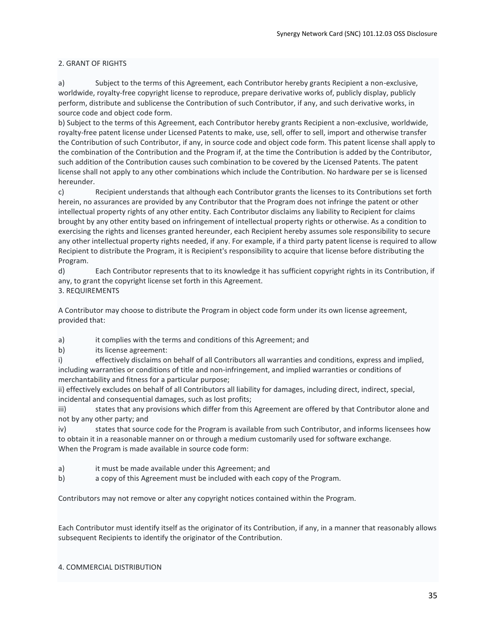# 2. GRANT OF RIGHTS

a) Subject to the terms of this Agreement, each Contributor hereby grants Recipient a non-exclusive, worldwide, royalty-free copyright license to reproduce, prepare derivative works of, publicly display, publicly perform, distribute and sublicense the Contribution of such Contributor, if any, and such derivative works, in source code and object code form.

b) Subject to the terms of this Agreement, each Contributor hereby grants Recipient a non-exclusive, worldwide, royalty-free patent license under Licensed Patents to make, use, sell, offer to sell, import and otherwise transfer the Contribution of such Contributor, if any, in source code and object code form. This patent license shall apply to the combination of the Contribution and the Program if, at the time the Contribution is added by the Contributor, such addition of the Contribution causes such combination to be covered by the Licensed Patents. The patent license shall not apply to any other combinations which include the Contribution. No hardware per se is licensed hereunder.

c) Recipient understands that although each Contributor grants the licenses to its Contributions set forth herein, no assurances are provided by any Contributor that the Program does not infringe the patent or other intellectual property rights of any other entity. Each Contributor disclaims any liability to Recipient for claims brought by any other entity based on infringement of intellectual property rights or otherwise. As a condition to exercising the rights and licenses granted hereunder, each Recipient hereby assumes sole responsibility to secure any other intellectual property rights needed, if any. For example, if a third party patent license is required to allow Recipient to distribute the Program, it is Recipient's responsibility to acquire that license before distributing the Program.

d) Each Contributor represents that to its knowledge it has sufficient copyright rights in its Contribution, if any, to grant the copyright license set forth in this Agreement. 3. REQUIREMENTS

A Contributor may choose to distribute the Program in object code form under its own license agreement, provided that:

a) it complies with the terms and conditions of this Agreement; and

b) its license agreement:

i) effectively disclaims on behalf of all Contributors all warranties and conditions, express and implied, including warranties or conditions of title and non-infringement, and implied warranties or conditions of merchantability and fitness for a particular purpose;

ii) effectively excludes on behalf of all Contributors all liability for damages, including direct, indirect, special, incidental and consequential damages, such as lost profits;

iii) states that any provisions which differ from this Agreement are offered by that Contributor alone and not by any other party; and

iv) states that source code for the Program is available from such Contributor, and informs licensees how to obtain it in a reasonable manner on or through a medium customarily used for software exchange. When the Program is made available in source code form:

- a) it must be made available under this Agreement; and
- b) a copy of this Agreement must be included with each copy of the Program.

Contributors may not remove or alter any copyright notices contained within the Program.

Each Contributor must identify itself as the originator of its Contribution, if any, in a manner that reasonably allows subsequent Recipients to identify the originator of the Contribution.

# 4. COMMERCIAL DISTRIBUTION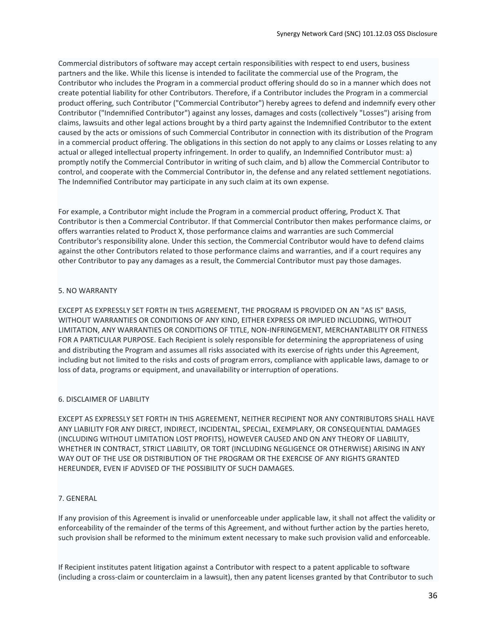Commercial distributors of software may accept certain responsibilities with respect to end users, business partners and the like. While this license is intended to facilitate the commercial use of the Program, the Contributor who includes the Program in a commercial product offering should do so in a manner which does not create potential liability for other Contributors. Therefore, if a Contributor includes the Program in a commercial product offering, such Contributor ("Commercial Contributor") hereby agrees to defend and indemnify every other Contributor ("Indemnified Contributor") against any losses, damages and costs (collectively "Losses") arising from claims, lawsuits and other legal actions brought by a third party against the Indemnified Contributor to the extent caused by the acts or omissions of such Commercial Contributor in connection with its distribution of the Program in a commercial product offering. The obligations in this section do not apply to any claims or Losses relating to any actual or alleged intellectual property infringement. In order to qualify, an Indemnified Contributor must: a) promptly notify the Commercial Contributor in writing of such claim, and b) allow the Commercial Contributor to control, and cooperate with the Commercial Contributor in, the defense and any related settlement negotiations. The Indemnified Contributor may participate in any such claim at its own expense.

For example, a Contributor might include the Program in a commercial product offering, Product X. That Contributor is then a Commercial Contributor. If that Commercial Contributor then makes performance claims, or offers warranties related to Product X, those performance claims and warranties are such Commercial Contributor's responsibility alone. Under this section, the Commercial Contributor would have to defend claims against the other Contributors related to those performance claims and warranties, and if a court requires any other Contributor to pay any damages as a result, the Commercial Contributor must pay those damages.

## 5. NO WARRANTY

EXCEPT AS EXPRESSLY SET FORTH IN THIS AGREEMENT, THE PROGRAM IS PROVIDED ON AN "AS IS" BASIS, WITHOUT WARRANTIES OR CONDITIONS OF ANY KIND, EITHER EXPRESS OR IMPLIED INCLUDING, WITHOUT LIMITATION, ANY WARRANTIES OR CONDITIONS OF TITLE, NON-INFRINGEMENT, MERCHANTABILITY OR FITNESS FOR A PARTICULAR PURPOSE. Each Recipient is solely responsible for determining the appropriateness of using and distributing the Program and assumes all risks associated with its exercise of rights under this Agreement, including but not limited to the risks and costs of program errors, compliance with applicable laws, damage to or loss of data, programs or equipment, and unavailability or interruption of operations.

# 6. DISCLAIMER OF LIABILITY

EXCEPT AS EXPRESSLY SET FORTH IN THIS AGREEMENT, NEITHER RECIPIENT NOR ANY CONTRIBUTORS SHALL HAVE ANY LIABILITY FOR ANY DIRECT, INDIRECT, INCIDENTAL, SPECIAL, EXEMPLARY, OR CONSEQUENTIAL DAMAGES (INCLUDING WITHOUT LIMITATION LOST PROFITS), HOWEVER CAUSED AND ON ANY THEORY OF LIABILITY, WHETHER IN CONTRACT, STRICT LIABILITY, OR TORT (INCLUDING NEGLIGENCE OR OTHERWISE) ARISING IN ANY WAY OUT OF THE USE OR DISTRIBUTION OF THE PROGRAM OR THE EXERCISE OF ANY RIGHTS GRANTED HEREUNDER, EVEN IF ADVISED OF THE POSSIBILITY OF SUCH DAMAGES.

## 7. GENERAL

If any provision of this Agreement is invalid or unenforceable under applicable law, it shall not affect the validity or enforceability of the remainder of the terms of this Agreement, and without further action by the parties hereto, such provision shall be reformed to the minimum extent necessary to make such provision valid and enforceable.

If Recipient institutes patent litigation against a Contributor with respect to a patent applicable to software (including a cross-claim or counterclaim in a lawsuit), then any patent licenses granted by that Contributor to such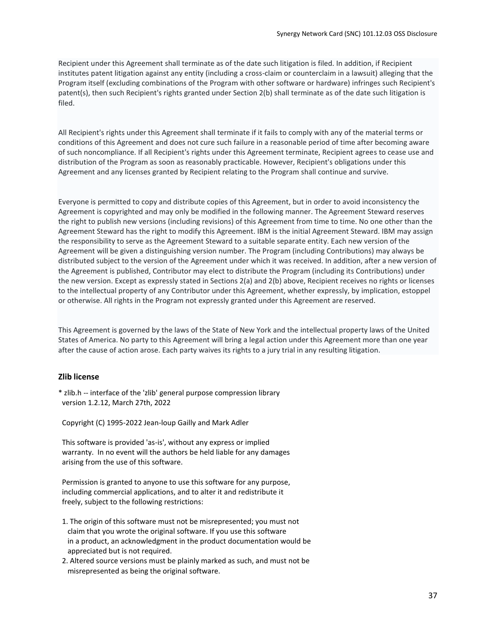Recipient under this Agreement shall terminate as of the date such litigation is filed. In addition, if Recipient institutes patent litigation against any entity (including a cross-claim or counterclaim in a lawsuit) alleging that the Program itself (excluding combinations of the Program with other software or hardware) infringes such Recipient's patent(s), then such Recipient's rights granted under Section 2(b) shall terminate as of the date such litigation is filed.

All Recipient's rights under this Agreement shall terminate if it fails to comply with any of the material terms or conditions of this Agreement and does not cure such failure in a reasonable period of time after becoming aware of such noncompliance. If all Recipient's rights under this Agreement terminate, Recipient agrees to cease use and distribution of the Program as soon as reasonably practicable. However, Recipient's obligations under this Agreement and any licenses granted by Recipient relating to the Program shall continue and survive.

Everyone is permitted to copy and distribute copies of this Agreement, but in order to avoid inconsistency the Agreement is copyrighted and may only be modified in the following manner. The Agreement Steward reserves the right to publish new versions (including revisions) of this Agreement from time to time. No one other than the Agreement Steward has the right to modify this Agreement. IBM is the initial Agreement Steward. IBM may assign the responsibility to serve as the Agreement Steward to a suitable separate entity. Each new version of the Agreement will be given a distinguishing version number. The Program (including Contributions) may always be distributed subject to the version of the Agreement under which it was received. In addition, after a new version of the Agreement is published, Contributor may elect to distribute the Program (including its Contributions) under the new version. Except as expressly stated in Sections 2(a) and 2(b) above, Recipient receives no rights or licenses to the intellectual property of any Contributor under this Agreement, whether expressly, by implication, estoppel or otherwise. All rights in the Program not expressly granted under this Agreement are reserved.

This Agreement is governed by the laws of the State of New York and the intellectual property laws of the United States of America. No party to this Agreement will bring a legal action under this Agreement more than one year after the cause of action arose. Each party waives its rights to a jury trial in any resulting litigation.

## **Zlib license**

\* zlib.h -- interface of the 'zlib' general purpose compression library version 1.2.12, March 27th, 2022

Copyright (C) 1995-2022 Jean-loup Gailly and Mark Adler

 This software is provided 'as-is', without any express or implied warranty. In no event will the authors be held liable for any damages arising from the use of this software.

 Permission is granted to anyone to use this software for any purpose, including commercial applications, and to alter it and redistribute it freely, subject to the following restrictions:

- 1. The origin of this software must not be misrepresented; you must not claim that you wrote the original software. If you use this software in a product, an acknowledgment in the product documentation would be appreciated but is not required.
- 2. Altered source versions must be plainly marked as such, and must not be misrepresented as being the original software.